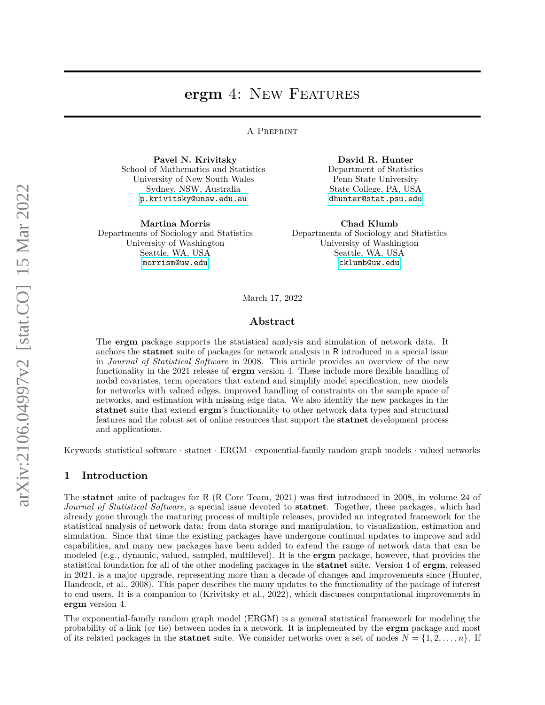# **ergm** 4: NEW FEATURES

A Preprint

**Pavel N. Krivitsky** School of Mathematics and Statistics University of New South Wales Sydney, NSW, Australia [p.krivitsky@unsw.edu.au](mailto:p.krivitsky@unsw.edu.au)

**Martina Morris** Departments of Sociology and Statistics University of Washington Seattle, WA, USA [morrism@uw.edu](mailto:morrism@uw.edu)

**David R. Hunter** Department of Statistics Penn State University State College, PA, USA [dhunter@stat.psu.edu](mailto:dhunter@stat.psu.edu)

**Chad Klumb** Departments of Sociology and Statistics University of Washington Seattle, WA, USA [cklumb@uw.edu](mailto:cklumb@uw.edu)

March 17, 2022

#### **Abstract**

The **ergm** package supports the statistical analysis and simulation of network data. It anchors the **statnet** suite of packages for network analysis in R introduced in a special issue in *Journal of Statistical Software* in 2008. This article provides an overview of the new functionality in the 2021 release of **ergm** version 4. These include more flexible handling of nodal covariates, term operators that extend and simplify model specification, new models for networks with valued edges, improved handling of constraints on the sample space of networks, and estimation with missing edge data. We also identify the new packages in the **statnet** suite that extend **ergm**'s functionality to other network data types and structural features and the robust set of online resources that support the **statnet** development process and applications.

Keywords statistical software · statnet · ERGM · exponential-family random graph models · valued networks

## <span id="page-0-0"></span>**1 Introduction**

The **statnet** suite of packages for R (R Core Team, 2021) was first introduced in 2008, in volume 24 of *Journal of Statistical Software*, a special issue devoted to **statnet**. Together, these packages, which had already gone through the maturing process of multiple releases, provided an integrated framework for the statistical analysis of network data: from data storage and manipulation, to visualization, estimation and simulation. Since that time the existing packages have undergone continual updates to improve and add capabilities, and many new packages have been added to extend the range of network data that can be modeled (e.g., dynamic, valued, sampled, multilevel). It is the **ergm** package, however, that provides the statistical foundation for all of the other modeling packages in the **statnet** suite. Version 4 of **ergm**, released in 2021, is a major upgrade, representing more than a decade of changes and improvements since (Hunter, Handcock, et al., 2008). This paper describes the many updates to the functionality of the package of interest to end users. It is a companion to (Krivitsky et al., 2022), which discusses computational improvements in **ergm** version 4.

The exponential-family random graph model (ERGM) is a general statistical framework for modeling the probability of a link (or tie) between nodes in a network. It is implemented by the **ergm** package and most of its related packages in the **statnet** suite. We consider networks over a set of nodes  $N = \{1, 2, \ldots, n\}$ . If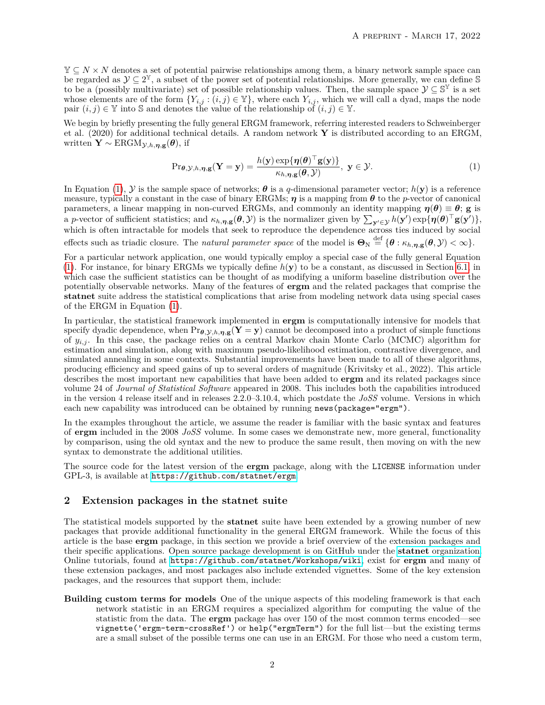Y ⊆ *N* × *N* denotes a set of potential pairwise relationships among them, a binary network sample space can be regarded as  $\mathcal{Y} \subseteq 2^{\mathbb{Y}}$ , a subset of the power set of potential relationships. More generally, we can define S to be a (possibly multivariate) set of possible relationship values. Then, the sample space  $\mathcal{Y} \subseteq \mathbb{S}^{\mathbb{Y}}$  is a set whose elements are of the form  $\{Y_{i,j} : (i,j) \in \mathbb{Y}\}$ , where each  $Y_{i,j}$ , which we will call a dyad, maps the node pair  $(i, j) \in \mathbb{Y}$  into S and denotes the value of the relationship of  $(i, j) \in \mathbb{Y}$ .

We begin by briefly presenting the fully general ERGM framework, referring interested readers to Schweinberger et al. (2020) for additional technical details. A random network **Y** is distributed according to an ERGM, written  $\mathbf{Y} \sim \text{ERGM}_{\mathcal{Y},h,\eta,\mathbf{g}}(\boldsymbol{\theta}),$  if

<span id="page-1-0"></span>
$$
\Pr_{\boldsymbol{\theta}, \mathcal{Y}, h, \boldsymbol{\eta}, \mathbf{g}}(\mathbf{Y} = \mathbf{y}) = \frac{h(\mathbf{y}) \exp\{\boldsymbol{\eta}(\boldsymbol{\theta})^\top \mathbf{g}(\mathbf{y})\}}{\kappa_{h, \boldsymbol{\eta}, \mathbf{g}}(\boldsymbol{\theta}, \mathcal{Y})}, \ \mathbf{y} \in \mathcal{Y}.
$$
 (1)

In Equation [\(1\)](#page-1-0),  $\mathcal{Y}$  is the sample space of networks;  $\boldsymbol{\theta}$  is a *q*-dimensional parameter vector;  $h(\mathbf{y})$  is a reference measure, typically a constant in the case of binary ERGMs; *η* is a mapping from *θ* to the *p*-vector of canonical parameters, a linear mapping in non-curved ERGMs, and commonly an identity mapping  $\eta(\theta) \equiv \theta$ ; **g** is a *p*-vector of sufficient statistics; and  $\kappa_{h,\eta,g}(\theta,\mathcal{Y})$  is the normalizer given by  $\sum_{\mathbf{y}'\in\mathcal{Y}} h(\mathbf{y}') \exp{\{\eta(\theta)^\top g(\mathbf{y}')\}},$ which is often intractable for models that seek to reproduce the dependence across ties induced by social effects such as triadic closure. The *natural parameter space* of the model is  $\Theta_{\text{N}} \stackrel{\text{def}}{=} {\{\theta : \kappa_{h,\eta,\mathbf{g}}(\theta,\mathcal{Y}) < \infty\}}.$ 

For a particular network application, one would typically employ a special case of the fully general Equation [\(1\)](#page-1-0). For instance, for binary ERGMs we typically define *h*(**y**) to be a constant, as discussed in Section [6.1,](#page-17-0) in which case the sufficient statistics can be thought of as modifying a uniform baseline distribution over the potentially observable networks. Many of the features of **ergm** and the related packages that comprise the **statnet** suite address the statistical complications that arise from modeling network data using special cases of the ERGM in Equation [\(1\)](#page-1-0).

In particular, the statistical framework implemented in **ergm** is computationally intensive for models that specify dyadic dependence, when  $\Pr_{\theta, \mathcal{Y},h,\eta, \mathbf{g}}(\mathbf{Y} = \mathbf{y})$  cannot be decomposed into a product of simple functions of *yi,j* . In this case, the package relies on a central Markov chain Monte Carlo (MCMC) algorithm for estimation and simulation, along with maximum pseudo-likelihood estimation, contrastive divergence, and simulated annealing in some contexts. Substantial improvements have been made to all of these algorithms, producing efficiency and speed gains of up to several orders of magnitude (Krivitsky et al., 2022). This article describes the most important new capabilities that have been added to **ergm** and its related packages since volume 24 of *Journal of Statistical Software* appeared in 2008. This includes both the capabilities introduced in the version 4 release itself and in releases 2.2.0–3.10.4, which postdate the *JoSS* volume. Versions in which each new capability was introduced can be obtained by running news(package="ergm").

In the examples throughout the article, we assume the reader is familiar with the basic syntax and features of **ergm** included in the 2008 *JoSS* volume. In some cases we demonstrate new, more general, functionality by comparison, using the old syntax and the new to produce the same result, then moving on with the new syntax to demonstrate the additional utilities.

The source code for the latest version of the **ergm** package, along with the LICENSE information under GPL-3, is available at <https://github.com/statnet/ergm>.

# <span id="page-1-1"></span>**2 Extension packages in the statnet suite**

The statistical models supported by the **statnet** suite have been extended by a growing number of new packages that provide additional functionality in the general ERGM framework. While the focus of this article is the base **ergm** package, in this section we provide a brief overview of the extension packages and their specific applications. Open source package development is on GitHub under the **statnet** [organization.](https://github.com/statnet) Online tutorials, found at <https://github.com/statnet/Workshops/wiki>, exist for **ergm** and many of these extension packages, and most packages also include extended vignettes. Some of the key extension packages, and the resources that support them, include:

**Building custom terms for models** One of the unique aspects of this modeling framework is that each network statistic in an ERGM requires a specialized algorithm for computing the value of the statistic from the data. The **ergm** package has over 150 of the most common terms encoded—see vignette('ergm-term-crossRef') or help("ergmTerm") for the full list—but the existing terms are a small subset of the possible terms one can use in an ERGM. For those who need a custom term,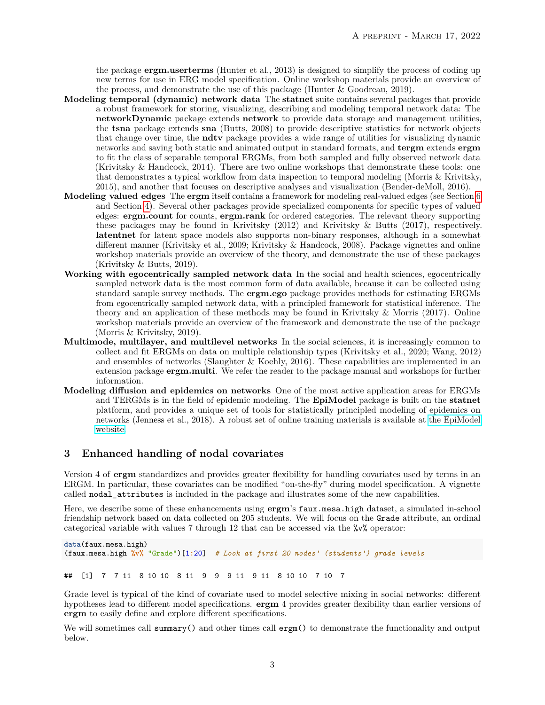the package **ergm.userterms** (Hunter et al., 2013) is designed to simplify the process of coding up new terms for use in ERG model specification. Online workshop materials provide an overview of the process, and demonstrate the use of this package (Hunter  $\&$  Goodreau, 2019).

- **Modeling temporal (dynamic) network data** The **statnet** suite contains several packages that provide a robust framework for storing, visualizing, describing and modeling temporal network data: The **networkDynamic** package extends **network** to provide data storage and management utilities, the **tsna** package extends **sna** (Butts, 2008) to provide descriptive statistics for network objects that change over time, the **ndtv** package provides a wide range of utilities for visualizing dynamic networks and saving both static and animated output in standard formats, and **tergm** extends **ergm** to fit the class of separable temporal ERGMs, from both sampled and fully observed network data (Krivitsky & Handcock, 2014). There are two online workshops that demonstrate these tools: one that demonstrates a typical workflow from data inspection to temporal modeling (Morris & Krivitsky, 2015), and another that focuses on descriptive analyses and visualization (Bender-deMoll, 2016).
- **Modeling valued edges** The **ergm** itself contains a framework for modeling real-valued edges (see Section [6](#page-17-1) and Section [4\)](#page-7-0). Several other packages provide specialized components for specific types of valued edges: **ergm.count** for counts, **ergm.rank** for ordered categories. The relevant theory supporting these packages may be found in Krivitsky (2012) and Krivitsky & Butts (2017), respectively. **latentnet** for latent space models also supports non-binary responses, although in a somewhat different manner (Krivitsky et al., 2009; Krivitsky & Handcock, 2008). Package vignettes and online workshop materials provide an overview of the theory, and demonstrate the use of these packages (Krivitsky & Butts, 2019).
- **Working with egocentrically sampled network data** In the social and health sciences, egocentrically sampled network data is the most common form of data available, because it can be collected using standard sample survey methods. The **ergm.ego** package provides methods for estimating ERGMs from egocentrically sampled network data, with a principled framework for statistical inference. The theory and an application of these methods may be found in Krivitsky & Morris (2017). Online workshop materials provide an overview of the framework and demonstrate the use of the package (Morris & Krivitsky, 2019).
- **Multimode, multilayer, and multilevel networks** In the social sciences, it is increasingly common to collect and fit ERGMs on data on multiple relationship types (Krivitsky et al., 2020; Wang, 2012) and ensembles of networks (Slaughter  $\&$  Koehly, 2016). These capabilities are implemented in an extension package **ergm.multi**. We refer the reader to the package manual and workshops for further information.
- **Modeling diffusion and epidemics on networks** One of the most active application areas for ERGMs and TERGMs is in the field of epidemic modeling. The **EpiModel** package is built on the **statnet** platform, and provides a unique set of tools for statistically principled modeling of epidemics on networks (Jenness et al., 2018). A robust set of online training materials is available at [the EpiModel](http://www.epimodel.org) [website.](http://www.epimodel.org)

# **3 Enhanced handling of nodal covariates**

Version 4 of **ergm** standardizes and provides greater flexibility for handling covariates used by terms in an ERGM. In particular, these covariates can be modified "on-the-fly" during model specification. A vignette called nodal\_attributes is included in the package and illustrates some of the new capabilities.

Here, we describe some of these enhancements using **ergm**'s faux.mesa.high dataset, a simulated in-school friendship network based on data collected on 205 students. We will focus on the Grade attribute, an ordinal categorical variable with values 7 through 12 that can be accessed via the %v% operator:

**data**(faux.mesa.high) (faux.mesa.high **%v%** "Grade")[1**:**20] *# Look at first 20 nodes' (students') grade levels*

## [1] 7 7 11 8 10 10 8 11 9 9 9 11 9 11 8 10 10 7 10 7

Grade level is typical of the kind of covariate used to model selective mixing in social networks: different hypotheses lead to different model specifications. **ergm** 4 provides greater flexibility than earlier versions of **ergm** to easily define and explore different specifications.

We will sometimes call summary() and other times call ergm() to demonstrate the functionality and output below.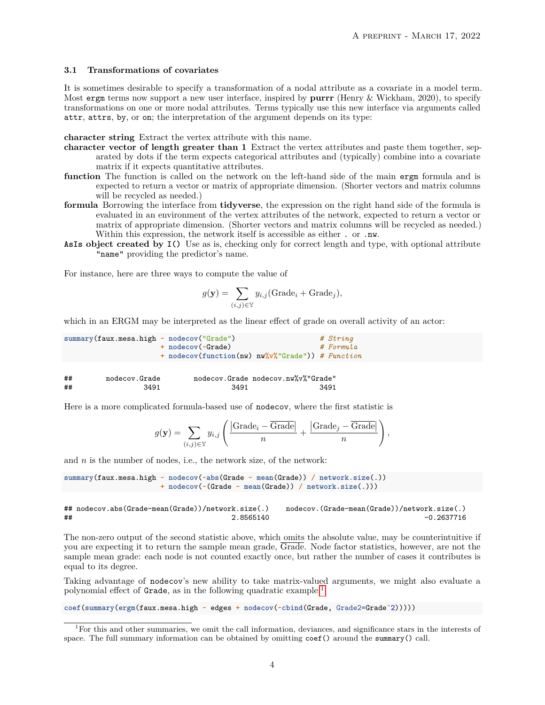#### <span id="page-3-1"></span>**3.1 Transformations of covariates**

It is sometimes desirable to specify a transformation of a nodal attribute as a covariate in a model term. Most ergm terms now support a new user interface, inspired by **purrr** (Henry & Wickham, 2020), to specify transformations on one or more nodal attributes. Terms typically use this new interface via arguments called attr, attrs, by, or on; the interpretation of the argument depends on its type:

**character string** Extract the vertex attribute with this name.

- **character vector of length greater than 1** Extract the vertex attributes and paste them together, separated by dots if the term expects categorical attributes and (typically) combine into a covariate matrix if it expects quantitative attributes.
- **function** The function is called on the network on the left-hand side of the main ergm formula and is expected to return a vector or matrix of appropriate dimension. (Shorter vectors and matrix columns will be recycled as needed.)
- **formula** Borrowing the interface from **tidyverse**, the expression on the right hand side of the formula is evaluated in an environment of the vertex attributes of the network, expected to return a vector or matrix of appropriate dimension. (Shorter vectors and matrix columns will be recycled as needed.) Within this expression, the network itself is accessible as either . or .nw.
- **AsIs object created by I()** Use as is, checking only for correct length and type, with optional attribute "name" providing the predictor's name.

For instance, here are three ways to compute the value of

$$
g(\mathbf{y}) = \sum_{(i,j) \in \mathbb{Y}} y_{i,j}(\text{Grade}_i + \text{Grade}_j),
$$

which in an ERGM may be interpreted as the linear effect of grade on overall activity of an actor:

**summary**(faux.mesa.high **~ nodecov**("Grade") *# String* **+ nodecov**(**~**Grade) *# Formula* **+ nodecov**(**function**(nw) nw**%v%**"Grade")) *# Function*

| ## | nodecov.Grade |      | nodecov.Grade nodecov.nw%v%"Grade" |
|----|---------------|------|------------------------------------|
| ## | 3491          | 3491 | 3491                               |

Here is a more complicated formula-based use of nodecov, where the first statistic is

$$
g(\mathbf{y}) = \sum_{(i,j) \in \mathbb{Y}} y_{i,j} \left( \frac{|\text{Grade}_i - \overline{\text{Grade}}|}{n} + \frac{|\text{Grade}_j - \overline{\text{Grade}}|}{n} \right),
$$

and *n* is the number of nodes, i.e., the network size, of the network:

```
summary(faux.mesa.high ~ nodecov(~abs(Grade - mean(Grade)) / network.size(.))
                       + nodecov(~(Grade - mean(Grade)) / network.size(.)))
```
## nodecov.abs(Grade-mean(Grade))/network.size(.) nodecov.(Grade-mean(Grade))/network.size(.) ## 2.8565140 -0.2637716

The non-zero output of the second statistic above, which omits the absolute value, may be counterintuitive if you are expecting it to return the sample mean grade, Grade. Node factor statistics, however, are not the sample mean grade: each node is not counted exactly once, but rather the number of cases it contributes is equal to its degree.

Taking advantage of nodecov's new ability to take matrix-valued arguments, we might also evaluate a polynomial effect of Grade, as in the following quadratic example:[1](#page-3-0)

**coef**(**summary**(**ergm**(faux.mesa.high **~** edges **+ nodecov**(**~cbind**(Grade, Grade2=Grade**ˆ**2)))))

<span id="page-3-0"></span><sup>1</sup>For this and other summaries, we omit the call information, deviances, and significance stars in the interests of space. The full summary information can be obtained by omitting coef () around the summary() call.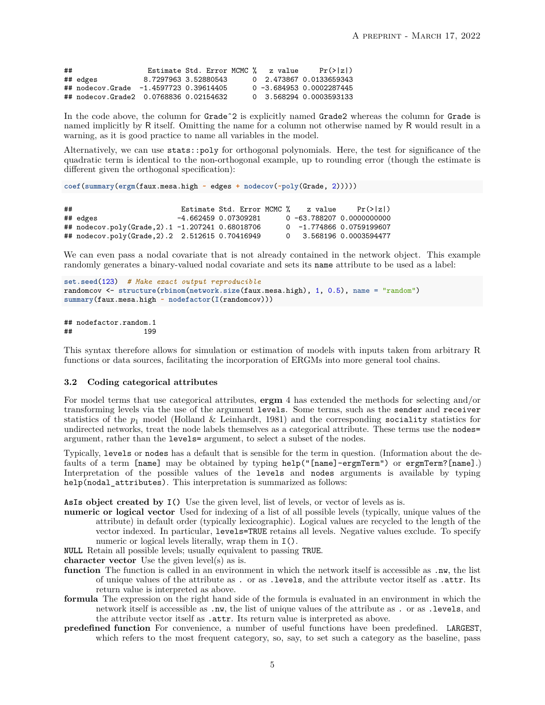| ## |                                        | Estimate Std. Error MCMC % | z value | $Pr(\ge  z )$               |
|----|----------------------------------------|----------------------------|---------|-----------------------------|
|    | ## edges                               | 8.7297963 3.52880543       |         | 0 2.473867 0.0133659343     |
|    | ## nodecov.Grade -1.4597723 0.39614405 |                            |         | $0 - 3.684953 0.0002287445$ |
|    | ## nodecov.Grade2 0.0768836 0.02154632 |                            |         | 0 3.568294 0.0003593133     |

In the code above, the column for Grade<sup> $2$ </sup> is explicitly named Grade2 whereas the column for Grade is named implicitly by R itself. Omitting the name for a column not otherwise named by R would result in a warning, as it is good practice to name all variables in the model.

Alternatively, we can use stats::poly for orthogonal polynomials. Here, the test for significance of the quadratic term is identical to the non-orthogonal example, up to rounding error (though the estimate is different given the orthogonal specification):

```
coef(summary(ergm(faux.mesa.high ~ edges + nodecov(~poly(Grade, 2)))))
```
## Estimate Std. Error MCMC % z value Pr(>|z|) ## edges -4.662459 0.07309281 0 -63.788207 0.0000000000 ## nodecov.poly(Grade,2).1 -1.207241 0.68018706 0 -1.774866 0.0759199607 ## nodecov.poly(Grade, 2).2 2.512615 0.70416949

We can even pass a nodal covariate that is not already contained in the network object. This example randomly generates a binary-valued nodal covariate and sets its name attribute to be used as a label:

```
set.seed(123) # Make exact output reproducible
randomcov <- structure(rbinom(network.size(faux.mesa.high), 1, 0.5), name = "random")
summary(faux.mesa.high ~ nodefactor(I(randomcov)))
```
## nodefactor.random.1 ## 199

This syntax therefore allows for simulation or estimation of models with inputs taken from arbitrary R functions or data sources, facilitating the incorporation of ERGMs into more general tool chains.

#### <span id="page-4-0"></span>**3.2 Coding categorical attributes**

For model terms that use categorical attributes, **ergm** 4 has extended the methods for selecting and/or transforming levels via the use of the argument levels. Some terms, such as the sender and receiver statistics of the *p*<sup>1</sup> model (Holland & Leinhardt, 1981) and the corresponding sociality statistics for undirected networks, treat the node labels themselves as a categorical attribute. These terms use the nodes= argument, rather than the levels= argument, to select a subset of the nodes.

Typically, levels or nodes has a default that is sensible for the term in question. (Information about the defaults of a term [name] may be obtained by typing help("[name]-ergmTerm") or ergmTerm?[name].) Interpretation of the possible values of the levels and nodes arguments is available by typing help(nodal\_attributes). This interpretation is summarized as follows:

**AsIs object created by I()** Use the given level, list of levels, or vector of levels as is.

**numeric or logical vector** Used for indexing of a list of all possible levels (typically, unique values of the attribute) in default order (typically lexicographic). Logical values are recycled to the length of the vector indexed. In particular, levels=TRUE retains all levels. Negative values exclude. To specify numeric or logical levels literally, wrap them in I().

**NULL** Retain all possible levels; usually equivalent to passing TRUE.

**character vector** Use the given level(s) as is.

- **function** The function is called in an environment in which the network itself is accessible as .nw, the list of unique values of the attribute as . or as .levels, and the attribute vector itself as .attr. Its return value is interpreted as above.
- **formula** The expression on the right hand side of the formula is evaluated in an environment in which the network itself is accessible as .nw, the list of unique values of the attribute as . or as .levels, and the attribute vector itself as .attr. Its return value is interpreted as above.
- **predefined function** For convenience, a number of useful functions have been predefined. LARGEST, which refers to the most frequent category, so, say, to set such a category as the baseline, pass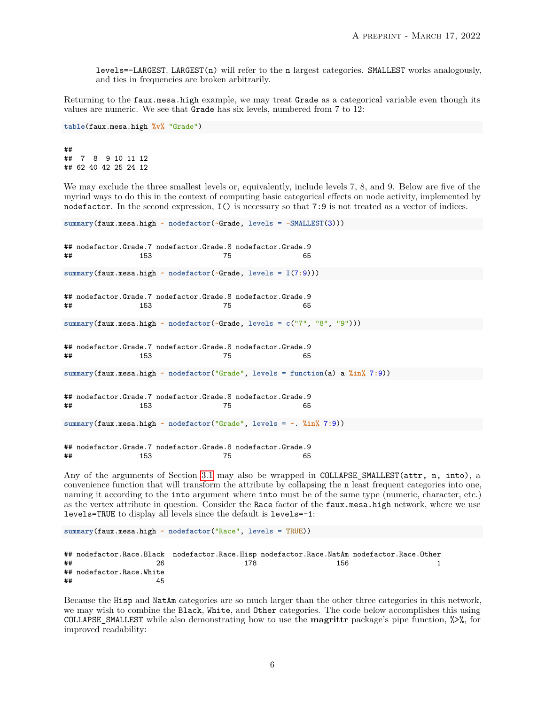levels=-LARGEST. LARGEST(n) will refer to the n largest categories. SMALLEST works analogously, and ties in frequencies are broken arbitrarily.

Returning to the faux.mesa.high example, we may treat Grade as a categorical variable even though its values are numeric. We see that Grade has six levels, numbered from 7 to 12:

```
table(faux.mesa.high %v% "Grade")
```
## 7 8 9 10 11 12 ## 62 40 42 25 24 12

We may exclude the three smallest levels or, equivalently, include levels 7, 8, and 9. Below are five of the myriad ways to do this in the context of computing basic categorical effects on node activity, implemented by nodefactor. In the second expression, I() is necessary so that 7:9 is not treated as a vector of indices.

```
summary(faux.mesa.high ~ nodefactor(~Grade, levels = -SMALLEST(3)))
## nodefactor.Grade.7 nodefactor.Grade.8 nodefactor.Grade.9
## 153 75 65
summary(faux.mesa.high ~ nodefactor(~Grade, levels = I(7:9)))
## nodefactor.Grade.7 nodefactor.Grade.8 nodefactor.Grade.9
## 153 75 65
summary(faux.mesa.high ~ nodefactor(~Grade, levels = c("7", "8", "9")))
## nodefactor.Grade.7 nodefactor.Grade.8 nodefactor.Grade.9
## 153 75 65
summary(faux.mesa.high ~ nodefactor("Grade", levels = function(a) a %in% 7:9))
## nodefactor.Grade.7 nodefactor.Grade.8 nodefactor.Grade.9
## 153 75 65
summary(faux.mesa.high ~ nodefactor("Grade", levels = ~. %in% 7:9))
## nodefactor.Grade.7 nodefactor.Grade.8 nodefactor.Grade.9
## 153 75 65
```
Any of the arguments of Section [3.1](#page-3-1) may also be wrapped in COLLAPSE\_SMALLEST(attr, n, into), a convenience function that will transform the attribute by collapsing the n least frequent categories into one, naming it according to the into argument where into must be of the same type (numeric, character, etc.) as the vertex attribute in question. Consider the Race factor of the faux.mesa.high network, where we use levels=TRUE to display all levels since the default is levels=-1:

**summary**(faux.mesa.high **~ nodefactor**("Race", levels = TRUE))

|    |                          |     |     | ## nodefactor.Race.Black nodefactor.Race.Hisp nodefactor.Race.NatAm nodefactor.Race.Other |
|----|--------------------------|-----|-----|-------------------------------------------------------------------------------------------|
| ## | 26                       | 178 | 156 |                                                                                           |
|    | ## nodefactor.Race.White |     |     |                                                                                           |
| ## | 45                       |     |     |                                                                                           |

Because the Hisp and NatAm categories are so much larger than the other three categories in this network, we may wish to combine the Black, White, and Other categories. The code below accomplishes this using COLLAPSE\_SMALLEST while also demonstrating how to use the **magrittr** package's pipe function, %>%, for improved readability: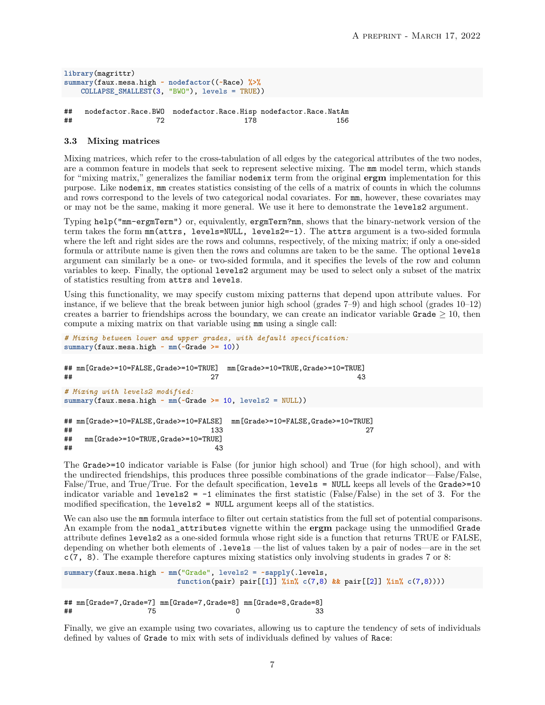```
library(magrittr)
summary(faux.mesa.high ~ nodefactor((~Race) %>%
    COLLAPSE_SMALLEST(3, "BWO"), levels = TRUE))
```
## nodefactor.Race.BWO nodefactor.Race.Hisp nodefactor.Race.NatAm ## 72 178 156

### **3.3 Mixing matrices**

Mixing matrices, which refer to the cross-tabulation of all edges by the categorical attributes of the two nodes, are a common feature in models that seek to represent selective mixing. The mm model term, which stands for "mixing matrix," generalizes the familiar nodemix term from the original **ergm** implementation for this purpose. Like nodemix, mm creates statistics consisting of the cells of a matrix of counts in which the columns and rows correspond to the levels of two categorical nodal covariates. For mm, however, these covariates may or may not be the same, making it more general. We use it here to demonstrate the levels2 argument.

Typing help("mm-ergmTerm") or, equivalently, ergmTerm?mm, shows that the binary-network version of the term takes the form mm(attrs, levels=NULL, levels2=-1). The attrs argument is a two-sided formula where the left and right sides are the rows and columns, respectively, of the mixing matrix; if only a one-sided formula or attribute name is given then the rows and columns are taken to be the same. The optional levels argument can similarly be a one- or two-sided formula, and it specifies the levels of the row and column variables to keep. Finally, the optional levels2 argument may be used to select only a subset of the matrix of statistics resulting from attrs and levels.

Using this functionality, we may specify custom mixing patterns that depend upon attribute values. For instance, if we believe that the break between junior high school (grades 7–9) and high school (grades 10–12) creates a barrier to friendships across the boundary, we can create an indicator variable Grade  $\geq 10$ , then compute a mixing matrix on that variable using mm using a single call:

```
# Mixing between lower and upper grades, with default specification:
summary(faux.mesa.high ~ mm(~Grade >= 10))
## mm[Grade>=10=FALSE,Grade>=10=TRUE] mm[Grade>=10=TRUE,Grade>=10=TRUE]
## 27 43
# Mixing with levels2 modified:
summary(faux.mesa.high ~ mm(~Grade >= 10, levels2 = NULL))
## mm[Grade>=10=FALSE,Grade>=10=FALSE] mm[Grade>=10=FALSE,Grade>=10=TRUE]
## 27
## mm[Grade>=10=TRUE,Grade>=10=TRUE]
\## 43
```
The Grade>=10 indicator variable is False (for junior high school) and True (for high school), and with the undirected friendships, this produces three possible combinations of the grade indicator—False/False, False/True, and True/True. For the default specification, levels = NULL keeps all levels of the Grade>=10 indicator variable and levels2 =  $-1$  eliminates the first statistic (False/False) in the set of 3. For the modified specification, the levels2 = NULL argument keeps all of the statistics.

We can also use the mm formula interface to filter out certain statistics from the full set of potential comparisons. An example from the nodal\_attributes vignette within the **ergm** package using the unmodified Grade attribute defines levels2 as a one-sided formula whose right side is a function that returns TRUE or FALSE, depending on whether both elements of .levels —the list of values taken by a pair of nodes—are in the set c(7, 8). The example therefore captures mixing statistics only involving students in grades 7 or 8:

```
summary(faux.mesa.high ~ mm("Grade", levels2 = ~sapply(.levels,
                     function(pair) pair[[1]] %in% c(7,8) && pair[[2]] %in% c(7,8))))
## mm[Grade=7,Grade=7] mm[Grade=7,Grade=8] mm[Grade=8,Grade=8]
## 75 0 33
```
Finally, we give an example using two covariates, allowing us to capture the tendency of sets of individuals defined by values of Grade to mix with sets of individuals defined by values of Race: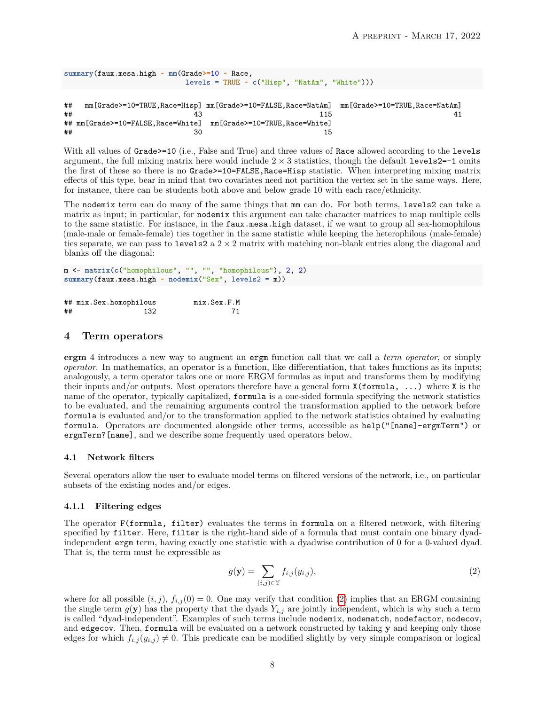```
summary(faux.mesa.high ~ mm(Grade>=10 ~ Race,
                             levels = TRUE ~ c("Hisp", "NatAm", "White")))
```

```
## mm[Grade>=10=TRUE,Race=Hisp] mm[Grade>=10=FALSE,Race=NatAm] mm[Grade>=10=TRUE,Race=NatAm]
## 43 115 41
## mm[Grade>=10=FALSE, Race=White] mm[Grade>=10=TRUE, Race=White]
\# \# \frac{15}{20}
```
With all values of Grade>=10 (i.e., False and True) and three values of Race allowed according to the levels argument, the full mixing matrix here would include  $2 \times 3$  statistics, though the default levels2=-1 omits the first of these so there is no Grade>=10=FALSE,Race=Hisp statistic. When interpreting mixing matrix effects of this type, bear in mind that two covariates need not partition the vertex set in the same ways. Here, for instance, there can be students both above and below grade 10 with each race/ethnicity.

The nodemix term can do many of the same things that mm can do. For both terms, levels2 can take a matrix as input; in particular, for nodemix this argument can take character matrices to map multiple cells to the same statistic. For instance, in the faux.mesa.high dataset, if we want to group all sex-homophilous (male-male or female-female) ties together in the same statistic while keeping the heterophilous (male-female) ties separate, we can pass to levels2 a  $2 \times 2$  matrix with matching non-blank entries along the diagonal and blanks off the diagonal:

```
m <- matrix(c("homophilous", "", "", "homophilous"), 2, 2)
summary(faux.mesa.high ~ nodemix("Sex", levels2 = m))
```

|    | ## mix.Sex.homophilous | mix.Sex.F.M |
|----|------------------------|-------------|
| ## | 132                    |             |

## <span id="page-7-0"></span>**4 Term operators**

**ergm** 4 introduces a new way to augment an ergm function call that we call a *term operator*, or simply *operator*. In mathematics, an operator is a function, like differentiation, that takes functions as its inputs; analogously, a term operator takes one or more ERGM formulas as input and transforms them by modifying their inputs and/or outputs. Most operators therefore have a general form  $X(formula, \ldots)$  where X is the name of the operator, typically capitalized, formula is a one-sided formula specifying the network statistics to be evaluated, and the remaining arguments control the transformation applied to the network before formula is evaluated and/or to the transformation applied to the network statistics obtained by evaluating formula. Operators are documented alongside other terms, accessible as help("[name]-ergmTerm") or ergmTerm?[name], and we describe some frequently used operators below.

#### <span id="page-7-2"></span>**4.1 Network filters**

Several operators allow the user to evaluate model terms on filtered versions of the network, i.e., on particular subsets of the existing nodes and/or edges.

#### **4.1.1 Filtering edges**

The operator F(formula, filter) evaluates the terms in formula on a filtered network, with filtering specified by filter. Here, filter is the right-hand side of a formula that must contain one binary dyadindependent ergm term, having exactly one statistic with a dyadwise contribution of 0 for a 0-valued dyad. That is, the term must be expressible as

<span id="page-7-1"></span>
$$
g(\mathbf{y}) = \sum_{(i,j)\in\mathbb{Y}} f_{i,j}(y_{i,j}),
$$
\n(2)

where for all possible  $(i, j)$ ,  $f_{i,j}(0) = 0$ . One may verify that condition [\(2\)](#page-7-1) implies that an ERGM containing the single term  $g(\mathbf{y})$  has the property that the dyads  $Y_{i,j}$  are jointly independent, which is why such a term is called "dyad-independent". Examples of such terms include nodemix, nodematch, nodefactor, nodecov, and edgecov. Then, formula will be evaluated on a network constructed by taking **y** and keeping only those edges for which  $f_{i,j}(y_{i,j}) \neq 0$ . This predicate can be modified slightly by very simple comparison or logical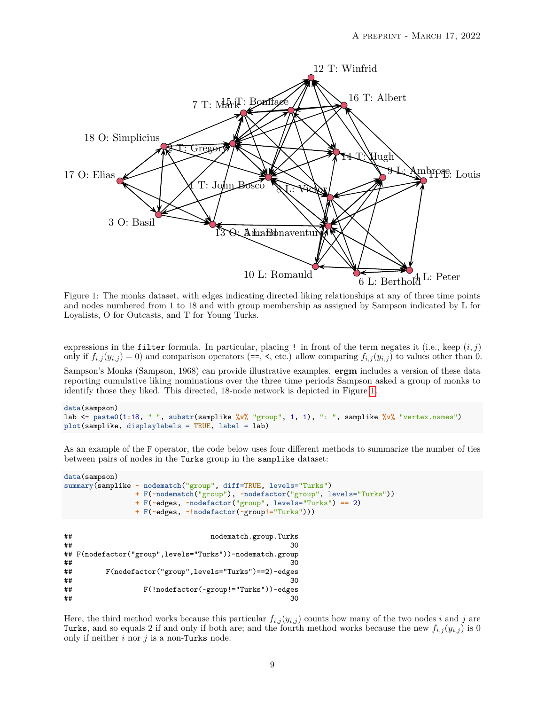<span id="page-8-0"></span>

Figure 1: The monks dataset, with edges indicating directed liking relationships at any of three time points and nodes numbered from 1 to 18 and with group membership as assigned by Sampson indicated by L for Loyalists, O for Outcasts, and T for Young Turks.

expressions in the filter formula. In particular, placing ! in front of the term negates it (i.e., keep (*i, j*) only if  $f_{i,j}(y_{i,j}) = 0$  and comparison operators (==, <, etc.) allow comparing  $f_{i,j}(y_{i,j})$  to values other than 0.

Sampson's Monks (Sampson, 1968) can provide illustrative examples. **ergm** includes a version of these data reporting cumulative liking nominations over the three time periods Sampson asked a group of monks to identify those they liked. This directed, 18-node network is depicted in Figure [1.](#page-8-0)

```
data(sampson)
lab <- paste0(1:18, " ", substr(samplike %v% "group", 1, 1), ": ", samplike %v% "vertex.names")
plot(samplike, displaylabels = TRUE, label = lab)
```
As an example of the F operator, the code below uses four different methods to summarize the number of ties between pairs of nodes in the Turks group in the samplike dataset:

```
data(sampson)
summary(samplike ~ nodematch("group", diff=TRUE, levels="Turks")
                 + F(~nodematch("group"), ~nodefactor("group", levels="Turks"))
                 + F(~edges, ~nodefactor("group", levels="Turks") == 2)
                 + F(~edges, ~!nodefactor(~group!="Turks")))
```

```
## nodematch.group.Turks
\## 30
## F(nodefactor("group",levels="Turks"))~nodematch.group
\## 30
## F(nodefactor("group",levels="Turks")==2)~edges
\## 30
## F(!nodefactor(~group!="Turks"))~edges
\## 30
```
Here, the third method works because this particular  $f_{i,j}(y_{i,j})$  counts how many of the two nodes *i* and *j* are Turks, and so equals 2 if and only if both are; and the fourth method works because the new  $f_{i,j}(y_{i,j})$  is 0 only if neither *i* nor *j* is a non-Turks node.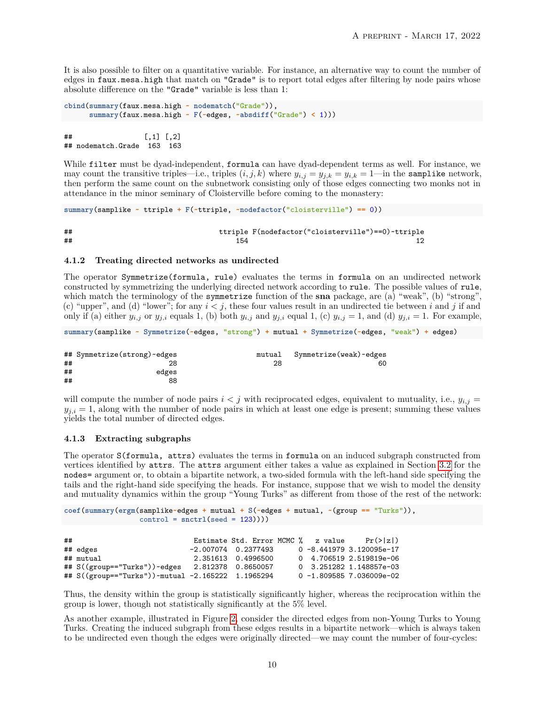It is also possible to filter on a quantitative variable. For instance, an alternative way to count the number of edges in faux.mesa.high that match on "Grade" is to report total edges after filtering by node pairs whose absolute difference on the "Grade" variable is less than 1:

```
cbind(summary(faux.mesa.high ~ nodematch("Grade")),
     summary(faux.mesa.high ~ F(~edges, ~absdiff("Grade") < 1)))
```
## [,1] [,2] ## nodematch.Grade 163 163

While filter must be dyad-independent, formula can have dyad-dependent terms as well. For instance, we may count the transitive triples—i.e., triples  $(i, j, k)$  where  $y_{i,j} = y_{j,k} = y_{i,k} = 1$ —in the samplike network, then perform the same count on the subnetwork consisting only of those edges connecting two monks not in attendance in the minor seminary of Cloisterville before coming to the monastery:

**summary**(samplike **~** ttriple **+ F**(**~**ttriple, **~nodefactor**("cloisterville") **==** 0))

## ttriple F(nodefactor("cloisterville")==0)~ttriple  $\#$ # 154 12

#### **4.1.2 Treating directed networks as undirected**

The operator Symmetrize(formula, rule) evaluates the terms in formula on an undirected network constructed by symmetrizing the underlying directed network according to rule. The possible values of rule, which match the terminology of the symmetrize function of the **sna** package, are (a) "weak", (b) "strong", (c) "upper", and (d) "lower"; for any  $i < j$ , these four values result in an undirected tie between  $i$  and  $j$  if and only if (a) either  $y_{i,j}$  or  $y_{j,i}$  equals 1, (b) both  $y_{i,j}$  and  $y_{j,i}$  equal 1, (c)  $y_{i,j} = 1$ , and (d)  $y_{j,i} = 1$ . For example,

**summary**(samplike **~ Symmetrize**(**~**edges, "strong") **+** mutual **+ Symmetrize**(**~**edges, "weak") **+** edges)

|    | ## Symmetrize(strong)~edges | mutual | Symmetrize(weak)~edges |
|----|-----------------------------|--------|------------------------|
| ## |                             | 28     | 60                     |
| ## | edges                       |        |                        |
| ## | 88                          |        |                        |

will compute the number of node pairs  $i < j$  with reciprocated edges, equivalent to mutuality, i.e.,  $y_{i,j} =$  $y_{j,i} = 1$ , along with the number of node pairs in which at least one edge is present; summing these values yields the total number of directed edges.

## **4.1.3 Extracting subgraphs**

The operator S(formula, attrs) evaluates the terms in formula on an induced subgraph constructed from vertices identified by attrs. The attrs argument either takes a value as explained in Section [3.2](#page-4-0) for the nodes= argument or, to obtain a bipartite network, a two-sided formula with the left-hand side specifying the tails and the right-hand side specifying the heads. For instance, suppose that we wish to model the density and mutuality dynamics within the group "Young Turks" as different from those of the rest of the network:

```
coef(summary(ergm(samplike~edges + mutual + S(~edges + mutual, ~(group == "Turks")),
                  control = snctrl(seed = 123))))
```

| ## |                                                   |                     |  |  | Estimate Std. Error MCMC % z value | Pr(> z )                    |
|----|---------------------------------------------------|---------------------|--|--|------------------------------------|-----------------------------|
|    | ## edges                                          | -2.007074 0.2377493 |  |  |                                    | $0 - 8.441979$ 3.120095e-17 |
|    | ## mutual                                         | 2.351613 0.4996500  |  |  |                                    | 0 4.706519 2.519819e-06     |
|    | ## S((group=="Turks"))~edges 2.812378 0.8650057   |                     |  |  |                                    | 0 3.251282 1.148857e-03     |
|    | ## S((group=="Turks"))~mutual -2.165222 1.1965294 |                     |  |  |                                    | $0 - 1.8095857.036009e-02$  |

Thus, the density within the group is statistically significantly higher, whereas the reciprocation within the group is lower, though not statistically significantly at the 5% level.

As another example, illustrated in Figure [2,](#page-10-0) consider the directed edges from non-Young Turks to Young Turks. Creating the induced subgraph from these edges results in a bipartite network—which is always taken to be undirected even though the edges were originally directed—we may count the number of four-cycles: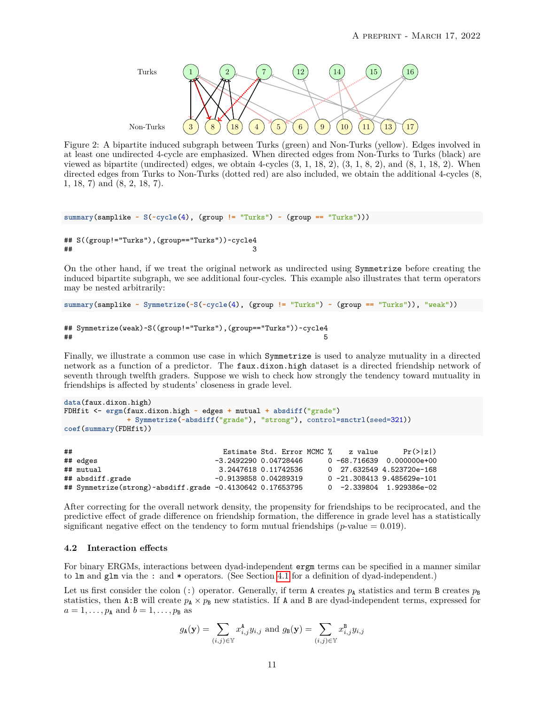<span id="page-10-0"></span>

Figure 2: A bipartite induced subgraph between Turks (green) and Non-Turks (yellow). Edges involved in at least one undirected 4-cycle are emphasized. When directed edges from Non-Turks to Turks (black) are viewed as bipartite (undirected) edges, we obtain 4-cycles  $(3, 1, 18, 2)$ ,  $(3, 1, 8, 2)$ , and  $(8, 1, 18, 2)$ . When directed edges from Turks to Non-Turks (dotted red) are also included, we obtain the additional 4-cycles (8, 1, 18, 7) and (8, 2, 18, 7).

```
summary(samplike ~ S(~cycle(4), (group != "Turks") ~ (group == "Turks")))
```

```
## S((group!="Turks"),(group=="Turks"))~cycle4
\## 3
```
On the other hand, if we treat the original network as undirected using Symmetrize before creating the induced bipartite subgraph, we see additional four-cycles. This example also illustrates that term operators may be nested arbitrarily:

```
summary(samplike ~ Symmetrize(~S(~cycle(4), (group != "Turks") ~ (group == "Turks")), "weak"))
```

```
## Symmetrize(weak)~S((group!="Turks"),(group=="Turks"))~cycle4
\##
```
Finally, we illustrate a common use case in which Symmetrize is used to analyze mutuality in a directed network as a function of a predictor. The faux.dixon.high dataset is a directed friendship network of seventh through twelfth graders. Suppose we wish to check how strongly the tendency toward mutuality in friendships is affected by students' closeness in grade level.

```
data(faux.dixon.high)
FDHfit <- ergm(faux.dixon.high ~ edges + mutual + absdiff("grade")
               + Symmetrize(~absdiff("grade"), "strong"), control=snctrl(seed=321))
coef(summary(FDHfit))
```

| ## |                                                             |                         |  | Estimate Std. Error MCMC % z value | $Pr(\ge  z )$                |
|----|-------------------------------------------------------------|-------------------------|--|------------------------------------|------------------------------|
|    | ## edges                                                    | -3.2492290 0.04728446   |  |                                    | $0 - 68.716639$ 0.000000e+00 |
|    | ## mutual                                                   | 3.2447618 0.11742536    |  |                                    | 0 27.632549 4.523720e-168    |
|    | ## absdiff.grade                                            | $-0.9139858$ 0.04289319 |  |                                    | $0 - 21.3084139.485629e-101$ |
|    | ## Symmetrize(strong)~absdiff.grade $-0.4130642$ 0.17653795 |                         |  |                                    | $0 -2.339804$ 1.929386e-02   |

After correcting for the overall network density, the propensity for friendships to be reciprocated, and the predictive effect of grade difference on friendship formation, the difference in grade level has a statistically significant negative effect on the tendency to form mutual friendships  $(p$ -value  $= 0.019$ ).

# <span id="page-10-1"></span>**4.2 Interaction effects**

For binary ERGMs, interactions between dyad-independent ergm terms can be specified in a manner similar to lm and glm via the : and \* operators. (See Section [4.1](#page-7-2) for a definition of dyad-independent.)

Let us first consider the colon (:) operator. Generally, if term A creates  $p_A$  statistics and term B creates  $p_B$ statistics, then A:B will create  $p_A \times p_B$  new statistics. If A and B are dyad-independent terms, expressed for  $a = 1, \ldots, p_A$  and  $b = 1, \ldots, p_B$  as

$$
g_{\mathbf{A}}(\mathbf{y}) = \sum_{(i,j) \in \mathbb{Y}} x_{i,j}^{\mathbf{A}} y_{i,j} \text{ and } g_{\mathbf{B}}(\mathbf{y}) = \sum_{(i,j) \in \mathbb{Y}} x_{i,j}^{\mathbf{B}} y_{i,j}
$$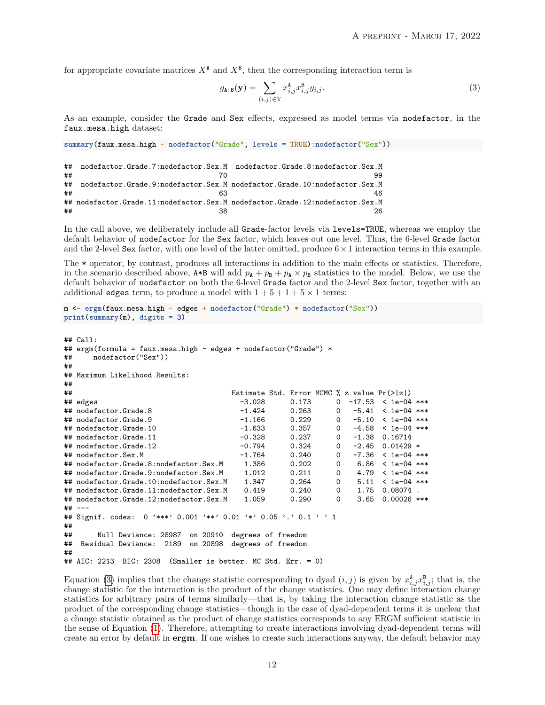for appropriate covariate matrices  $X^{\mathbf{A}}$  and  $X^{\mathbf{B}}$ , then the corresponding interaction term is

<span id="page-11-0"></span>
$$
g_{\mathbf{A}:\mathbf{B}}(\mathbf{y}) = \sum_{(i,j)\in\mathbb{Y}} x_{i,j}^{\mathbf{A}} x_{i,j}^{\mathbf{B}} y_{i,j}.
$$
 (3)

As an example, consider the Grade and Sex effects, expressed as model terms via nodefactor, in the faux.mesa.high dataset:

```
summary(faux.mesa.high ~ nodefactor("Grade", levels = TRUE):nodefactor("Sex"))
```

| ## |                                                                              | nodefactor.Grade.7:nodefactor.Sex.M nodefactor.Grade.8:nodefactor.Sex.M  |
|----|------------------------------------------------------------------------------|--------------------------------------------------------------------------|
| ## |                                                                              | 99                                                                       |
| ## |                                                                              | nodefactor.Grade.9:nodefactor.Sex.M nodefactor.Grade.10:nodefactor.Sex.M |
| ## |                                                                              |                                                                          |
|    | ## nodefactor.Grade.11:nodefactor.Sex.M nodefactor.Grade.12:nodefactor.Sex.M |                                                                          |
| ## |                                                                              | 26.                                                                      |

In the call above, we deliberately include all Grade-factor levels via levels=TRUE, whereas we employ the default behavior of nodefactor for the Sex factor, which leaves out one level. Thus, the 6-level Grade factor and the 2-level Sex factor, with one level of the latter omitted, produce  $6 \times 1$  interaction terms in this example.

The \* operator, by contrast, produces all interactions in addition to the main effects or statistics. Therefore, in the scenario described above,  $A*B$  will add  $p_A + p_B + p_A \times p_B$  statistics to the model. Below, we use the default behavior of nodefactor on both the 6-level Grade factor and the 2-level Sex factor, together with an additional edges term, to produce a model with  $1+5+1+5 \times 1$  terms:

```
m <- ergm(faux.mesa.high ~ edges + nodefactor("Grade") * nodefactor("Sex"))
print(summary(m), digits = 3)
```

```
## Call:
## ergm(formula = faux.mesa.high ~ edges + nodefactor("Grade") *<br>## nodefactor("Sex"))
     nodefactor("Sex"))
##
## Maximum Likelihood Results:
##<br>##
                                 Estimate Std. Error MCMC % z value Pr(>|z|)## edges -3.028 0.173 0 -17.53 < 1e-04 ***
## nodefactor.Grade.8 -1.424 0.263 0 -5.41 < 1e-04 ***
## nodefactor.Grade.9 -1.166 0.229 0 -5.10 < 1e-04 ***
## nodefactor. Grade. 10
## nodefactor.Grade.11 -0.328 0.237 0 -1.38 0.16714
## nodefactor.Grade.12 -0.794 0.324 0 -2.45 0.01429 *
## nodefactor.Sex.M -1.764 0.240 0 -7.36 < 1e-04 ***
## nodefactor.Grade.8:nodefactor.Sex.M 1.386 0.202 0 6.86 < 1e-04 ***
## nodefactor.Grade.9:nodefactor.Sex.M 1.012 0.211 0 4.79 < 1e-04 ***
## nodefactor.Grade.10:nodefactor.Sex.M 1.347 0.264 0 5.11 < 1e-04 ***
## nodefactor.Grade.11:nodefactor.Sex.M 0.419 0.240 0 1.75 0.08074 .
## nodefactor.Grade.12:nodefactor.Sex.M  1.059  0.290 0
## ---
## Signif. codes: 0 '***' 0.001 '**' 0.01 '*' 0.05 '.' 0.1 ' ' 1
##
## Null Deviance: 28987 on 20910 degrees of freedom
  Residual Deviance: 2189 on 20898 degrees of freedom
##
## AIC: 2213 BIC: 2308 (Smaller is better. MC Std. Err. = 0)
```
Equation [\(3\)](#page-11-0) implies that the change statistic corresponding to dyad  $(i, j)$  is given by  $x_{i,j}^{\mathtt{A}}x_{i,j}^{\mathtt{B}}$ ; that is, the change statistic for the interaction is the product of the change statistics. One may define interaction change statistics for arbitrary pairs of terms similarly—that is, by taking the interaction change statistic as the product of the corresponding change statistics—though in the case of dyad-dependent terms it is unclear that a change statistic obtained as the product of change statistics corresponds to any ERGM sufficient statistic in the sense of Equation [\(1\)](#page-1-0). Therefore, attempting to create interactions involving dyad-dependent terms will create an error by default in **ergm**. If one wishes to create such interactions anyway, the default behavior may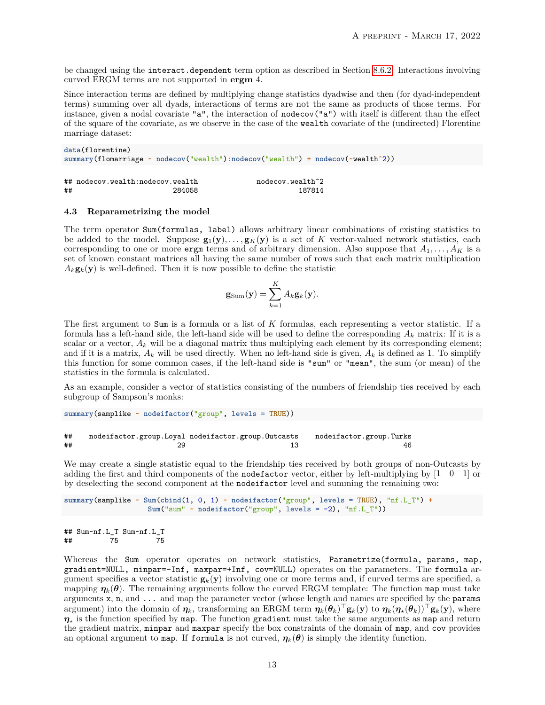be changed using the interact.dependent term option as described in Section [8.6.2.](#page-26-0) Interactions involving curved ERGM terms are not supported in **ergm** 4.

Since interaction terms are defined by multiplying change statistics dyadwise and then (for dyad-independent terms) summing over all dyads, interactions of terms are not the same as products of those terms. For instance, given a nodal covariate "a", the interaction of nodecov("a") with itself is different than the effect of the square of the covariate, as we observe in the case of the wealth covariate of the (undirected) Florentine marriage dataset:

```
data(florentine)
summary(flomarriage ~ nodecov("wealth"):nodecov("wealth") + nodecov(~wealthˆ2))
## nodecov.wealth:nodecov.wealth nodecov.wealth^2
```
# ## 284058 187814

# **4.3 Reparametrizing the model**

The term operator Sum(formulas, label) allows arbitrary linear combinations of existing statistics to be added to the model. Suppose  $\mathbf{g}_1(\mathbf{y}), \ldots, \mathbf{g}_K(\mathbf{y})$  is a set of K vector-valued network statistics, each corresponding to one or more ergm terms and of arbitrary dimension. Also suppose that  $A_1, \ldots, A_K$  is a set of known constant matrices all having the same number of rows such that each matrix multiplication  $A_k$ **g**<sub>*k*</sub>(**y**) is well-defined. Then it is now possible to define the statistic

$$
\mathbf{g}_{\text{Sum}}(\mathbf{y}) = \sum_{k=1}^{K} A_k \mathbf{g}_k(\mathbf{y}).
$$

The first argument to Sum is a formula or a list of *K* formulas, each representing a vector statistic. If a formula has a left-hand side, the left-hand side will be used to define the corresponding  $A_k$  matrix: If it is a scalar or a vector,  $A_k$  will be a diagonal matrix thus multiplying each element by its corresponding element; and if it is a matrix,  $A_k$  will be used directly. When no left-hand side is given,  $A_k$  is defined as 1. To simplify this function for some common cases, if the left-hand side is "sum" or "mean", the sum (or mean) of the statistics in the formula is calculated.

As an example, consider a vector of statistics consisting of the numbers of friendship ties received by each subgroup of Sampson's monks:

```
summary(samplike ~ nodeifactor("group", levels = TRUE))
```
#### ## nodeifactor.group.Loyal nodeifactor.group.Outcasts nodeifactor.group.Turks **##** 29 29 13 13 46

We may create a single statistic equal to the friendship ties received by both groups of non-Outcasts by adding the first and third components of the **nodefactor** vector, either by left-multiplying by  $\begin{bmatrix} 1 & 0 & 1 \end{bmatrix}$  or by deselecting the second component at the nodeifactor level and summing the remaining two:

```
summary(samplike ~ Sum(cbind(1, 0, 1) ~ nodeifactor("group", levels = TRUE), "nf.L_T") +
                   Sum("sum" ~ nodeifactor("group", levels = -2), "nf.L_T"))
```

```
## Sum~nf.L_T Sum~nf.L_T
## 75 75
```
Whereas the Sum operator operates on network statistics, Parametrize(formula, params, map, gradient=NULL, minpar=-Inf, maxpar=+Inf, cov=NULL) operates on the parameters. The formula argument specifies a vector statistic  $\mathbf{g}_k(\mathbf{y})$  involving one or more terms and, if curved terms are specified, a mapping  $\eta_k(\theta)$ . The remaining arguments follow the curved ERGM template: The function map must take arguments x, n, and ... and map the parameter vector (whose length and names are specified by the params argument) into the domain of  $\eta_k$ , transforming an ERGM term  $\eta_k(\theta_k)^\top \mathbf{g}_k(\mathbf{y})$  to  $\eta_k(\eta_\star(\theta_k))^\top \mathbf{g}_k(\mathbf{y})$ , where  $\eta_{\star}$  is the function specified by map. The function gradient must take the same arguments as map and return the gradient matrix, minpar and maxpar specify the box constraints of the domain of map, and cov provides an optional argument to map. If formula is not curved,  $\eta_k(\theta)$  is simply the identity function.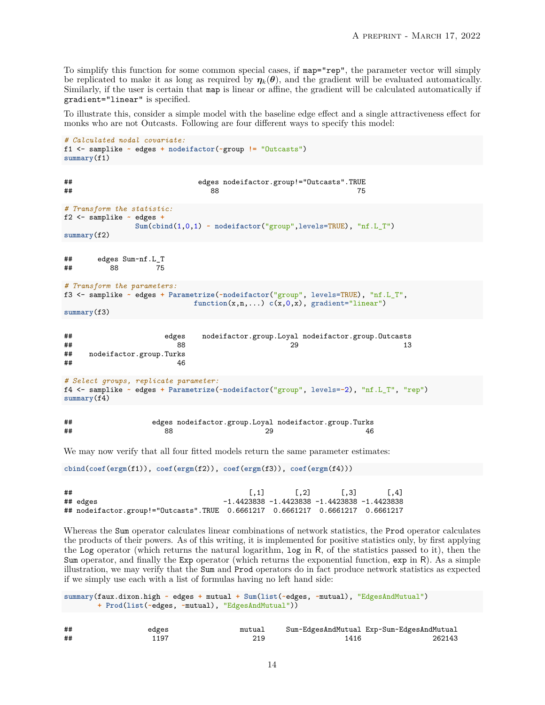To simplify this function for some common special cases, if map="rep", the parameter vector will simply be replicated to make it as long as required by  $\eta_k(\theta)$ , and the gradient will be evaluated automatically. Similarly, if the user is certain that map is linear or affine, the gradient will be calculated automatically if gradient="linear" is specified.

To illustrate this, consider a simple model with the baseline edge effect and a single attractiveness effect for monks who are not Outcasts. Following are four different ways to specify this model:

```
# Calculated nodal covariate:
f1 <- samplike ~ edges + nodeifactor(~group != "Outcasts")
summary(f1)
## edges nodeifactor.group!="Outcasts".TRUE
## 88 75
# Transform the statistic:
```

```
f2 <- samplike ~ edges +
```

```
Sum(cbind(1,0,1) ~ nodeifactor("group",levels=TRUE), "nf.L_T")
summary(f2)
```

```
## edges Sum~nf.L_T
## 88 75
```

```
# Transform the parameters:
f3 <- samplike ~ edges + Parametrize(~nodeifactor("group", levels=TRUE), "nf.L_T",
                                function(x, n, ...) c(x, 0, x), gradient="linear")
```
**summary**(f3)

| ## | edges                                                | nodeifactor.group.Loyal nodeifactor.group.Outcasts                                                  |    |
|----|------------------------------------------------------|-----------------------------------------------------------------------------------------------------|----|
| ## | 88                                                   | 29                                                                                                  | 13 |
| ## | nodeifactor.group.Turks                              |                                                                                                     |    |
| ## | 46                                                   |                                                                                                     |    |
|    |                                                      |                                                                                                     |    |
|    | # Select groups, replicate parameter:<br>summary(f4) | f4 <- samplike $\sim$ edges + Parametrize( $\sim$ nodeifactor("group", levels=-2), "nf.L T", "rep") |    |
| ## |                                                      | edges nodeifactor.group.Loyal nodeifactor.group.Turks                                               |    |

## 88 29 46

We may now verify that all four fitted models return the same parameter estimates:

**cbind**(**coef**(**ergm**(f1)), **coef**(**ergm**(f2)), **coef**(**ergm**(f3)), **coef**(**ergm**(f4)))

```
## [,1] [,2] [,3] [,4]
## edges -1.4423838 -1.4423838 -1.4423838 -1.4423838
## nodeifactor.group!="Outcasts".TRUE 0.6661217 0.6661217 0.6661217 0.6661217
```
Whereas the Sum operator calculates linear combinations of network statistics, the Prod operator calculates the products of their powers. As of this writing, it is implemented for positive statistics only, by first applying the Log operator (which returns the natural logarithm, log in R, of the statistics passed to it), then the Sum operator, and finally the Exp operator (which returns the exponential function, exp in R). As a simple illustration, we may verify that the Sum and Prod operators do in fact produce network statistics as expected if we simply use each with a list of formulas having no left hand side:

```
summary(faux.dixon.high ~ edges + mutual + Sum(list(~edges, ~mutual), "EdgesAndMutual")
        + Prod(list(~edges, ~mutual), "EdgesAndMutual"))
```

| ## | edges | mutual | Sum~EdgesAndMutual Exp~Sum~EdgesAndMutual |        |
|----|-------|--------|-------------------------------------------|--------|
| ## | 1197  |        | 1416                                      | 262143 |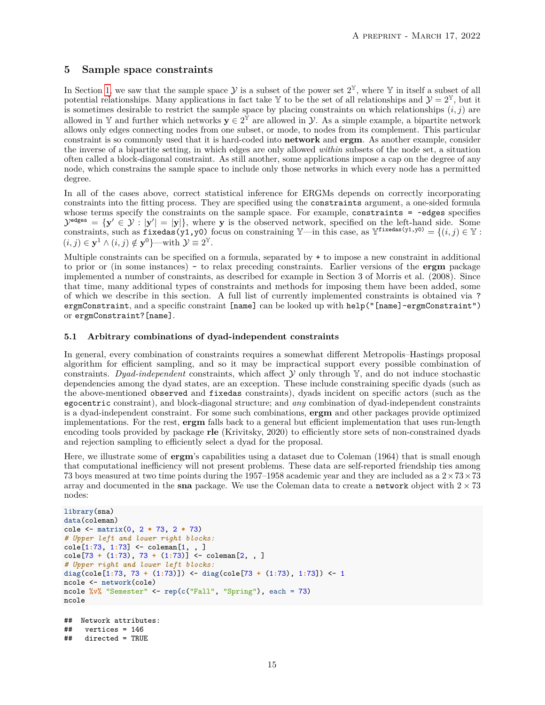# **5 Sample space constraints**

In Section [1,](#page-0-0) we saw that the sample space  $\mathcal Y$  is a subset of the power set  $2^{\mathbb Y}$ , where  $\mathbb Y$  in itself a subset of all potential relationships. Many applications in fact take Y to be the set of all relationships and  $\mathcal{Y} = 2^{\mathbb{Y}}$ , but it is sometimes desirable to restrict the sample space by placing constraints on which relationships  $(i, j)$  are allowed in Y and further which networks  $y \in 2^{\tilde{Y}}$  are allowed in y. As a simple example, a bipartite network allows only edges connecting nodes from one subset, or mode, to nodes from its complement. This particular constraint is so commonly used that it is hard-coded into **network** and **ergm**. As another example, consider the inverse of a bipartite setting, in which edges are only allowed *within* subsets of the node set, a situation often called a block-diagonal constraint. As still another, some applications impose a cap on the degree of any node, which constrains the sample space to include only those networks in which every node has a permitted degree.

In all of the cases above, correct statistical inference for ERGMs depends on correctly incorporating constraints into the fitting process. They are specified using the constraints argument, a one-sided formula whose terms specify the constraints on the sample space. For example, constraints = ~edges specifies  $\mathcal{Y}^{\text{edges}} = {\mathbf{y}' \in \mathcal{Y} : |\mathbf{y}'| = |\mathbf{y}|\},\$  where **y** is the observed network, specified on the left-hand side. Some constraints, such as fixedas(y1,y0) focus on constraining  $\mathbb{Y}$ —in this case, as  $\mathbb{Y}^{fixedas(y1,y0)} = \{(i,j) \in \mathbb{Y} :$  $(i, j) \in \mathbf{y}^1 \wedge (i, j) \notin \mathbf{y}^0$ }—with  $\mathcal{Y} \equiv 2^{\mathbb{Y}}$ .

Multiple constraints can be specified on a formula, separated by + to impose a new constraint in additional to prior or (in some instances) - to relax preceding constraints. Earlier versions of the **ergm** package implemented a number of constraints, as described for example in Section 3 of Morris et al. (2008). Since that time, many additional types of constraints and methods for imposing them have been added, some of which we describe in this section. A full list of currently implemented constraints is obtained via ? ergmConstraint, and a specific constraint [name] can be looked up with help("[name]-ergmConstraint") or ergmConstraint?[name].

# **5.1 Arbitrary combinations of dyad-independent constraints**

In general, every combination of constraints requires a somewhat different Metropolis–Hastings proposal algorithm for efficient sampling, and so it may be impractical support every possible combination of constraints. *Dyad-independent* constraints, which affect Y only through Y, and do not induce stochastic dependencies among the dyad states, are an exception. These include constraining specific dyads (such as the above-mentioned observed and fixedas constraints), dyads incident on specific actors (such as the egocentric constraint), and block-diagonal structure; and *any* combination of dyad-independent constraints is a dyad-independent constraint. For some such combinations, **ergm** and other packages provide optimized implementations. For the rest, **ergm** falls back to a general but efficient implementation that uses run-length encoding tools provided by package **rle** (Krivitsky, 2020) to efficiently store sets of non-constrained dyads and rejection sampling to efficiently select a dyad for the proposal.

Here, we illustrate some of **ergm**'s capabilities using a dataset due to Coleman (1964) that is small enough that computational inefficiency will not present problems. These data are self-reported friendship ties among 73 boys measured at two time points during the 1957–1958 academic year and they are included as a  $2 \times 73 \times 73$ array and documented in the **sna** package. We use the Coleman data to create a network object with  $2 \times 73$ nodes:

```
library(sna)
data(coleman)
cole <- matrix(0, 2 * 73, 2 * 73)
# Upper left and lower right blocks:
cole[1:73, 1:73] <- coleman[1, , ]
cole[73 + (1:73), 73 + (1:73)] <- coleman[2, , ]
# Upper right and lower left blocks:
diag(cole[1:73, 73 + (1:73)]) <- diag(cole[73 + (1:73), 1:73]) <- 1
ncole <- network(cole)
ncole %v% "Semester" <- rep(c("Fall", "Spring"), each = 73)
ncole
```

```
## Network attributes:
## vertices = 146
## directed = TRUE
```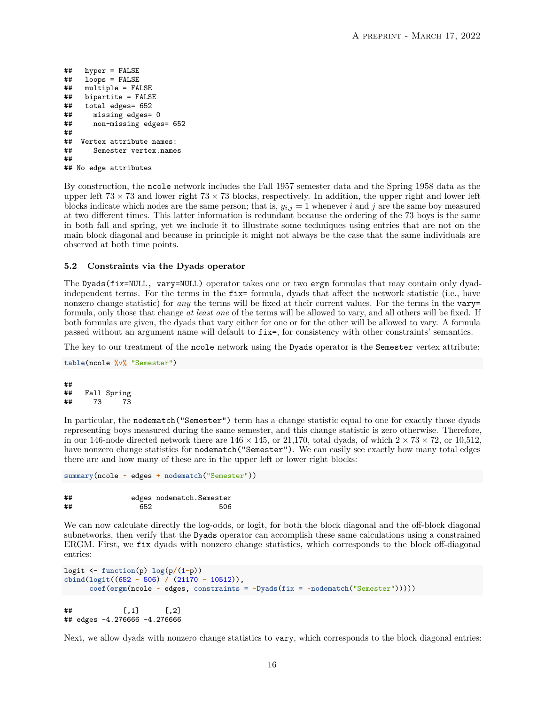```
## hyper = FALSE
## loops = FALSE
## multiple = FALSE
    bipartite = FALSE
## total edges= 652
## missing edges= 0
## non-missing edges= 652
##
## Vertex attribute names:
## Semester vertex.names
##
## No edge attributes
```
By construction, the ncole network includes the Fall 1957 semester data and the Spring 1958 data as the upper left  $73 \times 73$  and lower right  $73 \times 73$  blocks, respectively. In addition, the upper right and lower left blocks indicate which nodes are the same person; that is,  $y_{i,j} = 1$  whenever *i* and *j* are the same boy measured at two different times. This latter information is redundant because the ordering of the 73 boys is the same in both fall and spring, yet we include it to illustrate some techniques using entries that are not on the main block diagonal and because in principle it might not always be the case that the same individuals are observed at both time points.

#### <span id="page-15-0"></span>**5.2 Constraints via the Dyads operator**

The Dyads(fix=NULL, vary=NULL) operator takes one or two ergm formulas that may contain only dyadindependent terms. For the terms in the fix= formula, dyads that affect the network statistic (i.e., have nonzero change statistic) for *any* the terms will be fixed at their current values. For the terms in the vary= formula, only those that change *at least one* of the terms will be allowed to vary, and all others will be fixed. If both formulas are given, the dyads that vary either for one or for the other will be allowed to vary. A formula passed without an argument name will default to fix=, for consistency with other constraints' semantics.

The key to our treatment of the ncole network using the Dyads operator is the Semester vertex attribute:

```
table(ncole %v% "Semester")
```
## ## Fall Spring ## 73 73

In particular, the nodematch("Semester") term has a change statistic equal to one for exactly those dyads representing boys measured during the same semester, and this change statistic is zero otherwise. Therefore, in our 146-node directed network there are  $146 \times 145$ , or 21,170, total dyads, of which  $2 \times 73 \times 72$ , or 10,512, have nonzero change statistics for nodematch("Semester"). We can easily see exactly how many total edges there are and how many of these are in the upper left or lower right blocks:

```
summary(ncole ~ edges + nodematch("Semester"))
```
## edges nodematch.Semester ## 652 506

We can now calculate directly the log-odds, or logit, for both the block diagonal and the off-block diagonal subnetworks, then verify that the Dyads operator can accomplish these same calculations using a constrained ERGM. First, we fix dyads with nonzero change statistics, which corresponds to the block off-diagonal entries:

```
logit <- function(p) log(p/(1-p))
cbind(logit((652 - 506) / (21170 - 10512)),
     coef(ergm(ncole ~ edges, constraints = ~Dyads(fix = ~nodematch("Semester")))))
\sharp # [,1] [,2]
## edges -4.276666 -4.276666
```
Next, we allow dyads with nonzero change statistics to vary, which corresponds to the block diagonal entries: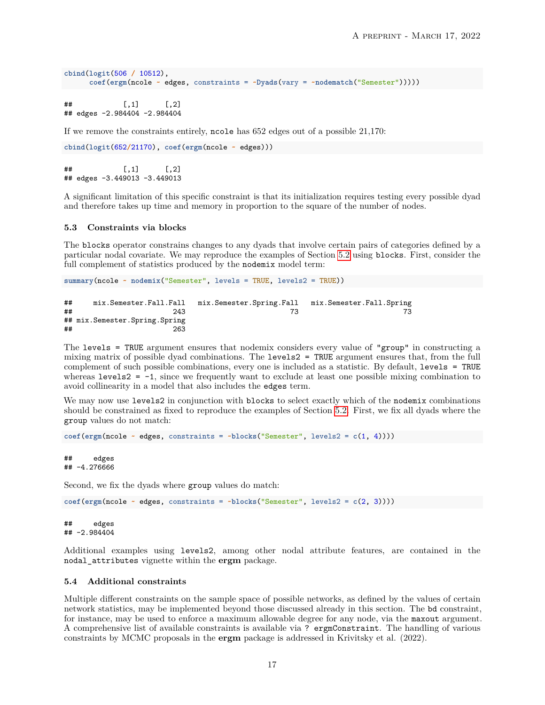```
cbind(logit(506 / 10512),
     coef(ergm(ncole ~ edges, constraints = ~Dyads(vary = ~nodematch("Semester")))))
```
 $\#$   $\uparrow$   $\uparrow$   $\uparrow$   $\uparrow$   $\uparrow$   $\uparrow$   $\uparrow$   $\uparrow$   $\uparrow$   $\uparrow$   $\uparrow$   $\uparrow$   $\uparrow$   $\uparrow$   $\uparrow$   $\uparrow$   $\uparrow$   $\uparrow$   $\uparrow$   $\uparrow$   $\uparrow$   $\uparrow$   $\uparrow$   $\uparrow$   $\uparrow$   $\uparrow$   $\uparrow$   $\uparrow$   $\uparrow$   $\uparrow$   $\uparrow$   $\uparrow$   $\uparrow$   $\uparrow$   $\uparrow$   $\uparrow$  ## edges -2.984404 -2.984404

If we remove the constraints entirely, ncole has 652 edges out of a possible 21*,*170:

```
cbind(logit(652/21170), coef(ergm(ncole ~ edges)))
```
 $\sharp$  #  $[$ , 1  $[$ , 2  $]$ ## edges -3.449013 -3.449013

A significant limitation of this specific constraint is that its initialization requires testing every possible dyad and therefore takes up time and memory in proportion to the square of the number of nodes.

#### **5.3 Constraints via blocks**

The blocks operator constrains changes to any dyads that involve certain pairs of categories defined by a particular nodal covariate. We may reproduce the examples of Section [5.2](#page-15-0) using blocks. First, consider the full complement of statistics produced by the nodemix model term:

**summary**(ncole **~ nodemix**("Semester", levels = TRUE, levels2 = TRUE))

| ## | mix.Semester.Fall.Fall        | mix.Semester.Spring.Fall | mix.Semester.Fall.Spring |
|----|-------------------------------|--------------------------|--------------------------|
| ## | 243                           |                          |                          |
|    | ## mix.Semester.Spring.Spring |                          |                          |
| ## | 263                           |                          |                          |

The levels = TRUE argument ensures that nodemix considers every value of "group" in constructing a mixing matrix of possible dyad combinations. The levels2 = TRUE argument ensures that, from the full complement of such possible combinations, every one is included as a statistic. By default, levels = TRUE whereas levels2 = -1, since we frequently want to exclude at least one possible mixing combination to avoid collinearity in a model that also includes the edges term.

We may now use levels2 in conjunction with blocks to select exactly which of the nodemix combinations should be constrained as fixed to reproduce the examples of Section [5.2.](#page-15-0) First, we fix all dyads where the group values do not match:

```
coef(ergm(ncole ~ edges, constraints = ~blocks("Semester", levels2 = c(1, 4))))
```

```
## edges
## -4.276666
```
Second, we fix the dyads where group values do match:

```
coef(ergm(ncole ~ edges, constraints = ~blocks("Semester", levels2 = c(2, 3))))
```
## edges ## -2.984404

Additional examples using levels2, among other nodal attribute features, are contained in the nodal\_attributes vignette within the **ergm** package.

#### **5.4 Additional constraints**

Multiple different constraints on the sample space of possible networks, as defined by the values of certain network statistics, may be implemented beyond those discussed already in this section. The bd constraint, for instance, may be used to enforce a maximum allowable degree for any node, via the maxout argument. A comprehensive list of available constraints is available via ? ergmConstraint. The handling of various constraints by MCMC proposals in the **ergm** package is addressed in Krivitsky et al. (2022).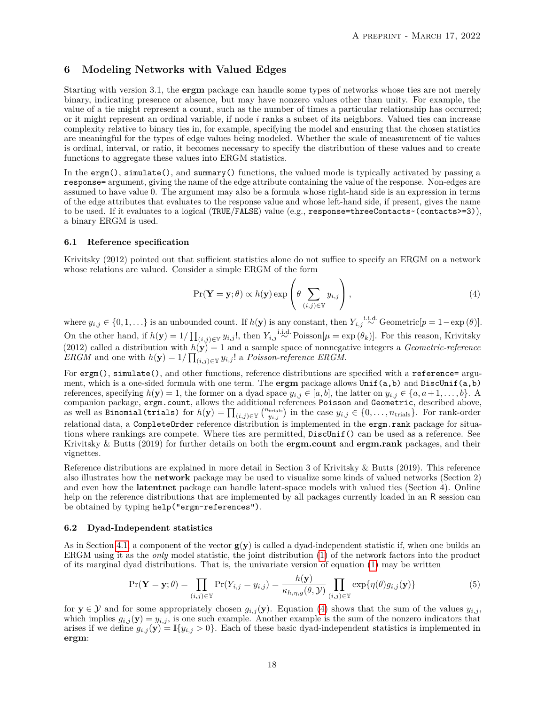# <span id="page-17-1"></span>**6 Modeling Networks with Valued Edges**

Starting with version 3.1, the **ergm** package can handle some types of networks whose ties are not merely binary, indicating presence or absence, but may have nonzero values other than unity. For example, the value of a tie might represent a count, such as the number of times a particular relationship has occurred; or it might represent an ordinal variable, if node *i* ranks a subset of its neighbors. Valued ties can increase complexity relative to binary ties in, for example, specifying the model and ensuring that the chosen statistics are meaningful for the types of edge values being modeled. Whether the scale of measurement of tie values is ordinal, interval, or ratio, it becomes necessary to specify the distribution of these values and to create functions to aggregate these values into ERGM statistics.

In the ergm(), simulate(), and summary() functions, the valued mode is typically activated by passing a response= argument, giving the name of the edge attribute containing the value of the response. Non-edges are assumed to have value 0. The argument may also be a formula whose right-hand side is an expression in terms of the edge attributes that evaluates to the response value and whose left-hand side, if present, gives the name to be used. If it evaluates to a logical (TRUE/FALSE) value (e.g., response=threeContacts~(contacts>=3)), a binary ERGM is used.

#### <span id="page-17-0"></span>**6.1 Reference specification**

Krivitsky (2012) pointed out that sufficient statistics alone do not suffice to specify an ERGM on a network whose relations are valued. Consider a simple ERGM of the form

<span id="page-17-2"></span>
$$
\Pr(\mathbf{Y} = \mathbf{y}; \theta) \propto h(\mathbf{y}) \exp\left(\theta \sum_{(i,j) \in \mathbb{Y}} y_{i,j}\right),\tag{4}
$$

where  $y_{i,j} \in \{0,1,\ldots\}$  is an unbounded count. If  $h(\mathbf{y})$  is any constant, then  $Y_{i,j} \stackrel{\text{i.i.d.}}{\sim} \text{Geometric}[p=1-\exp(\theta)].$ On the other hand, if  $h(\mathbf{y}) = 1/\prod_{(i,j) \in \mathbb{Y}} y_{i,j}!$ , then  $Y_{i,j} \stackrel{\text{i.i.d.}}{\sim} \text{Poisson}[\mu = \exp(\theta_k)]$ . For this reason, Krivitsky (2012) called a distribution with  $h(\mathbf{y}) = 1$  and a sample space of nonnegative integers a *Geometric-reference ERGM* and one with  $h(\mathbf{y}) = 1/\prod_{(i,j) \in \mathbb{Y}} y_{i,j}!$  a *Poisson-reference ERGM*.

For ergm(), simulate(), and other functions, reference distributions are specified with a reference= argument, which is a one-sided formula with one term. The **ergm** package allows Unif(a,b) and DiscUnif(a,b) references, specifying  $h(\mathbf{y}) = 1$ , the former on a dyad space  $y_{i,j} \in [a, b]$ , the latter on  $y_{i,j} \in \{a, a+1, \ldots, b\}$ . A companion package, ergm.count, allows the additional references Poisson and Geometric, described above, as well as  $\text{Binomial}(\text{trials})$  for  $h(\mathbf{y}) = \prod_{(i,j) \in \mathbb{Y}} \binom{n_{\text{trials}}}{y_{i,j}}$  in the case  $y_{i,j} \in \{0, \ldots, n_{\text{trials}}\}$ . For rank-order relational data, a CompleteOrder reference distribution is implemented in the ergm.rank package for situations where rankings are compete. Where ties are permitted, DiscUnif() can be used as a reference. See Krivitsky & Butts (2019) for further details on both the **ergm.count** and **ergm.rank** packages, and their vignettes.

Reference distributions are explained in more detail in Section 3 of Krivitsky & Butts (2019). This reference also illustrates how the **network** package may be used to visualize some kinds of valued networks (Section 2) and even how the **latentnet** package can handle latent-space models with valued ties (Section 4). Online help on the reference distributions that are implemented by all packages currently loaded in an R session can be obtained by typing help("ergm-references").

#### <span id="page-17-3"></span>**6.2 Dyad-Independent statistics**

As in Section [4.1,](#page-7-2) a component of the vector  $g(y)$  is called a dyad-independent statistic if, when one builds an ERGM using it as the *only* model statistic, the joint distribution [\(1\)](#page-1-0) of the network factors into the product of its marginal dyad distributions. That is, the univariate version of equation [\(1\)](#page-1-0) may be written

$$
\Pr(\mathbf{Y} = \mathbf{y}; \theta) = \prod_{(i,j) \in \mathbb{Y}} \Pr(Y_{i,j} = y_{i,j}) = \frac{h(\mathbf{y})}{\kappa_{h,\eta,g}(\theta, \mathcal{Y})} \prod_{(i,j) \in \mathbb{Y}} \exp\{\eta(\theta)g_{i,j}(\mathbf{y})\}\tag{5}
$$

for  $y \in \mathcal{Y}$  and for some appropriately chosen  $g_{i,j}(\mathbf{y})$ . Equation [\(4\)](#page-17-2) shows that the sum of the values  $y_{i,j}$ , which implies  $g_{i,j}(\mathbf{y}) = y_{i,j}$ , is one such example. Another example is the sum of the nonzero indicators that arises if we define  $g_{i,j}(\mathbf{y}) = \mathbb{I}\{y_{i,j} > 0\}$ . Each of these basic dyad-independent statistics is implemented in **ergm**: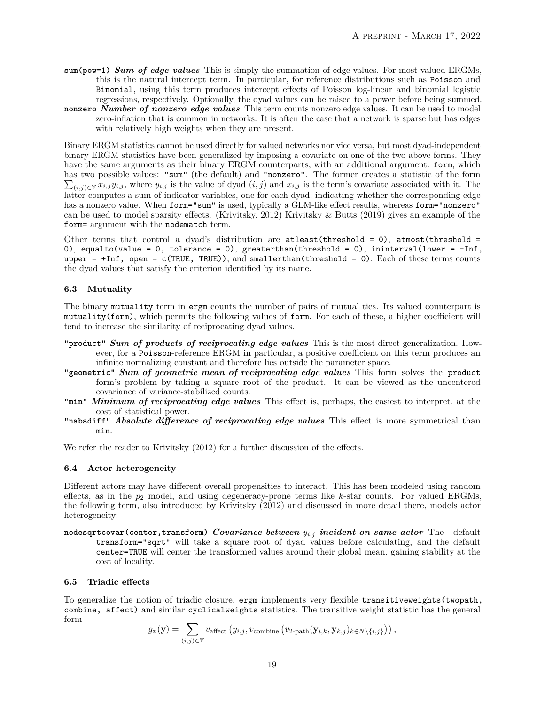- **sum(pow=1)** *Sum of edge values* This is simply the summation of edge values. For most valued ERGMs, this is the natural intercept term. In particular, for reference distributions such as Poisson and Binomial, using this term produces intercept effects of Poisson log-linear and binomial logistic regressions, respectively. Optionally, the dyad values can be raised to a power before being summed.
- **nonzero** *Number of nonzero edge values* This term counts nonzero edge values. It can be used to model zero-inflation that is common in networks: It is often the case that a network is sparse but has edges with relatively high weights when they are present.

Binary ERGM statistics cannot be used directly for valued networks nor vice versa, but most dyad-independent binary ERGM statistics have been generalized by imposing a covariate on one of the two above forms. They have the same arguments as their binary ERGM counterparts, with an additional argument: form, which has two possible values: "sum" (the default) and "nonzero". The former creates a statistic of the form  $\sum_{(i,j)\in\mathbb{Y}} x_{i,j}y_{i,j}$ , where  $y_{i,j}$  is the value of dyad  $(i,j)$  and  $x_{i,j}$  is the term's covariate associated with it. The latter computes a sum of indicator variables, one for each dyad, indicating whether the corresponding edge has a nonzero value. When form="sum" is used, typically a GLM-like effect results, whereas form="nonzero" can be used to model sparsity effects. (Krivitsky, 2012) Krivitsky & Butts (2019) gives an example of the form= argument with the nodematch term.

Other terms that control a dyad's distribution are atleast(threshold = 0), atmost(threshold = 0), equalto(value = 0, tolerance = 0), greaterthan(threshold = 0), ininterval(lower =  $-Inf$ , upper =  $+Inf$ , open =  $c(TRUE, TRUE)$ , and smallerthan(threshold = 0). Each of these terms counts the dyad values that satisfy the criterion identified by its name.

# **6.3 Mutuality**

The binary mutuality term in ergm counts the number of pairs of mutual ties. Its valued counterpart is mutuality(form), which permits the following values of form. For each of these, a higher coefficient will tend to increase the similarity of reciprocating dyad values.

- **"product"** *Sum of products of reciprocating edge values* This is the most direct generalization. However, for a Poisson-reference ERGM in particular, a positive coefficient on this term produces an infinite normalizing constant and therefore lies outside the parameter space.
- **"geometric"** *Sum of geometric mean of reciprocating edge values* This form solves the product form's problem by taking a square root of the product. It can be viewed as the uncentered covariance of variance-stabilized counts.
- **"min"** *Minimum of reciprocating edge values* This effect is, perhaps, the easiest to interpret, at the cost of statistical power.
- **"nabsdiff"** *Absolute difference of reciprocating edge values* This effect is more symmetrical than min.

We refer the reader to Krivitsky (2012) for a further discussion of the effects.

# **6.4 Actor heterogeneity**

Different actors may have different overall propensities to interact. This has been modeled using random effects, as in the  $p_2$  model, and using degeneracy-prone terms like  $k$ -star counts. For valued ERGMs, the following term, also introduced by Krivitsky (2012) and discussed in more detail there, models actor heterogeneity:

**nodesqrtcovar(center,transform)** *Covariance between yi,j incident on same actor* The default transform="sqrt" will take a square root of dyad values before calculating, and the default center=TRUE will center the transformed values around their global mean, gaining stability at the cost of locality.

# **6.5 Triadic effects**

To generalize the notion of triadic closure, ergm implements very flexible transitiveweights(twopath, combine, affect) and similar cyclicalweights statistics. The transitive weight statistic has the general form

$$
g_{\boldsymbol{v}}(\mathbf{y}) = \sum_{(i,j) \in \mathbb{Y}} v_{\text{affect}} \left( y_{i,j}, v_{\text{combine}} \left( v_{2\text{-path}}(\mathbf{y}_{i,k}, \mathbf{y}_{k,j})_{k \in N \setminus \{i,j\}} \right) \right),
$$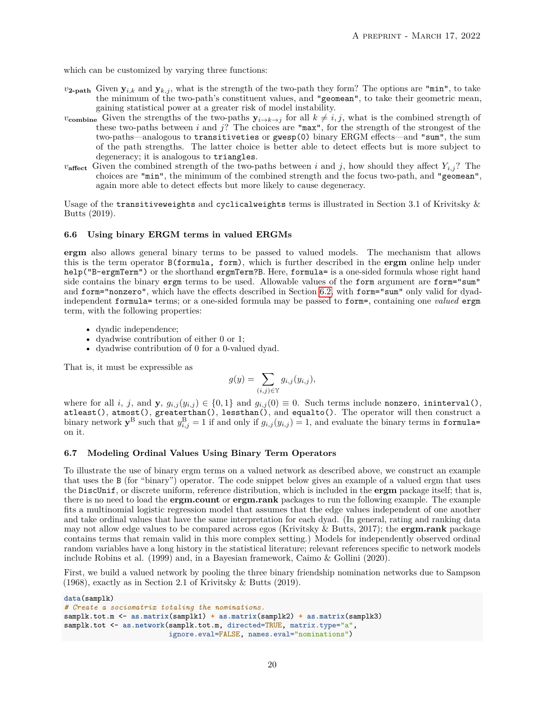which can be customized by varying three functions:

- $v_{2\text{-path}}$  Given  $y_{i,k}$  and  $y_{k,j}$ , what is the strength of the two-path they form? The options are "min", to take the minimum of the two-path's constituent values, and "geomean", to take their geometric mean, gaining statistical power at a greater risk of model instability.
- *v*<sub>combine</sub> Given the strengths of the two-paths  $y_{i\to k\to j}$  for all  $k \neq i, j$ , what is the combined strength of these two-paths between *i* and *j*? The choices are "max", for the strength of the strongest of the two-paths—analogous to transitiveties or gwesp(0) binary ERGM effects—and "sum", the sum of the path strengths. The latter choice is better able to detect effects but is more subject to degeneracy; it is analogous to triangles.
- *v***affect** Given the combined strength of the two-paths between *i* and *j*, how should they affect  $Y_{i,j}$ ? The choices are "min", the minimum of the combined strength and the focus two-path, and "geomean", again more able to detect effects but more likely to cause degeneracy.

Usage of the transitive weights and cyclical weights terms is illustrated in Section 3.1 of Krivitsky  $\&$ Butts (2019).

## **6.6 Using binary ERGM terms in valued ERGMs**

**ergm** also allows general binary terms to be passed to valued models. The mechanism that allows this is the term operator B(formula, form), which is further described in the **ergm** online help under help("B-ergmTerm") or the shorthand ergmTerm?B. Here, formula= is a one-sided formula whose right hand side contains the binary ergm terms to be used. Allowable values of the form argument are form="sum" and form="nonzero", which have the effects described in Section [6.2,](#page-17-3) with form="sum" only valid for dyadindependent formula= terms; or a one-sided formula may be passed to form=, containing one *valued* ergm term, with the following properties:

- dyadic independence;
- dyadwise contribution of either 0 or 1;
- dyadwise contribution of 0 for a 0-valued dyad.

That is, it must be expressible as

$$
g(y) = \sum_{(i,j) \in \mathbb{Y}} g_{i,j}(y_{i,j}),
$$

where for all *i*, *j*, and **y**,  $g_{i,j}(y_{i,j}) \in \{0,1\}$  and  $g_{i,j}(0) \equiv 0$ . Such terms include nonzero, ininterval(), atleast(), atmost(), greaterthan(), lessthan(), and equalto(). The operator will then construct a binary network  $y^B$  such that  $y^B_{i,j} = 1$  if and only if  $g_{i,j}(y_{i,j}) = 1$ , and evaluate the binary terms in formula= on it.

## **6.7 Modeling Ordinal Values Using Binary Term Operators**

To illustrate the use of binary ergm terms on a valued network as described above, we construct an example that uses the B (for "binary") operator. The code snippet below gives an example of a valued ergm that uses the DiscUnif, or discrete uniform, reference distribution, which is included in the **ergm** package itself; that is, there is no need to load the **ergm.count** or **ergm.rank** packages to run the following example. The example fits a multinomial logistic regression model that assumes that the edge values independent of one another and take ordinal values that have the same interpretation for each dyad. (In general, rating and ranking data may not allow edge values to be compared across egos (Krivitsky & Butts, 2017); the **ergm.rank** package contains terms that remain valid in this more complex setting.) Models for independently observed ordinal random variables have a long history in the statistical literature; relevant references specific to network models include Robins et al. (1999) and, in a Bayesian framework, Caimo & Gollini (2020).

First, we build a valued network by pooling the three binary friendship nomination networks due to Sampson (1968), exactly as in Section 2.1 of Krivitsky & Butts (2019).

```
data(samplk)
# Create a sociomatrix totaling the nominations.
samplk.tot.m <- as.matrix(samplk1) + as.matrix(samplk2) + as.matrix(samplk3)
samplk.tot <- as.network(samplk.tot.m, directed=TRUE, matrix.type="a",
                         ignore.eval=FALSE, names.eval="nominations")
```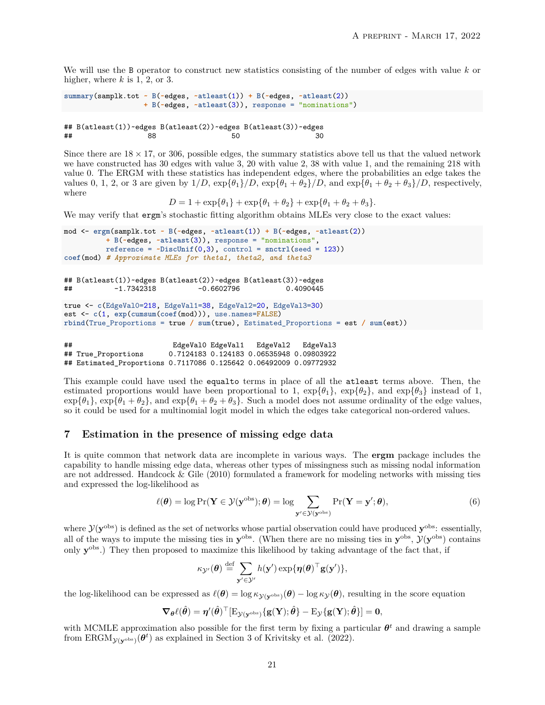We will use the B operator to construct new statistics consisting of the number of edges with value *k* or higher, where *k* is 1, 2, or 3.

```
summary(samplk.tot ~ B(~edges, ~atleast(1)) + B(~edges, ~atleast(2))
                  + B(~edges, ~atleast(3)), response = "nominations")
```

```
## B(\text{atleast}(1)) \sim \text{edges } B(\text{atleast}(2)) \sim \text{edges } B(\text{atleast}(3)) \sim \text{edges } B(3)## 88 50 30
```
Since there are  $18 \times 17$ , or 306, possible edges, the summary statistics above tell us that the valued network we have constructed has 30 edges with value 3, 20 with value 2, 38 with value 1, and the remaining 218 with value 0. The ERGM with these statistics has independent edges, where the probabilities an edge takes the values 0, 1, 2, or 3 are given by  $1/D$ ,  $\exp{\{\theta_1\}}/D$ ,  $\exp{\{\theta_1 + \theta_2\}}/D$ , and  $\exp{\{\theta_1 + \theta_2 + \theta_3\}}/D$ , respectively, where

 $D = 1 + \exp{\{\theta_1\} + \exp{\{\theta_1 + \theta_2\} + \exp{\{\theta_1 + \theta_2 + \theta_3\}}}.$ 

We may verify that ergm's stochastic fitting algorithm obtains MLEs very close to the exact values:

```
mod <- ergm(samplk.tot ~ B(~edges, ~atleast(1)) + B(~edges, ~atleast(2))
         + B(~edges, ~atleast(3)), response = "nominations",
         reference = ~DiscUnif(0,3), control = snctrl(seed = 123))
coef(mod) # Approximate MLEs for theta1, theta2, and theta3
## B(atleast(1))~edges B(atleast(2))~edges B(atleast(3))~edges
           -1.7342318true <- c(EdgeVal0=218, EdgeVal1=38, EdgeVal2=20, EdgeVal3=30)
est <- c(1, exp(cumsum(coef(mod))), use.names=FALSE)
rbind(True_Proportions = true / sum(true), Estimated_Proportions = est / sum(est))
## EdgeVal0 EdgeVal1 EdgeVal2 EdgeVal3
                        0.7124183 0.124183 0.06535948 0.09803922
## Estimated_Proportions 0.7117086 0.125642 0.06492009 0.09772932
```
This example could have used the equalto terms in place of all the atleast terms above. Then, the estimated proportions would have been proportional to 1,  $\exp{\{\theta_1\}}$ ,  $\exp{\{\theta_2\}}$ , and  $\exp{\{\theta_3\}}$  instead of 1,  $\exp{\{\theta_1\}}$ ,  $\exp{\{\theta_1 + \theta_2\}}$ , and  $\exp{\{\theta_1 + \theta_2 + \theta_3\}}$ . Such a model does not assume ordinality of the edge values, so it could be used for a multinomial logit model in which the edges take categorical non-ordered values.

# <span id="page-20-1"></span>**7 Estimation in the presence of missing edge data**

It is quite common that network data are incomplete in various ways. The **ergm** package includes the capability to handle missing edge data, whereas other types of missingness such as missing nodal information are not addressed. Handcock & Gile (2010) formulated a framework for modeling networks with missing ties and expressed the log-likelihood as

<span id="page-20-0"></span>
$$
\ell(\boldsymbol{\theta}) = \log \Pr(\mathbf{Y} \in \mathcal{Y}(\mathbf{y}^{\text{obs}}); \boldsymbol{\theta}) = \log \sum_{\mathbf{y}' \in \mathcal{Y}(\mathbf{y}^{\text{obs}})} \Pr(\mathbf{Y} = \mathbf{y}'; \boldsymbol{\theta}),\tag{6}
$$

where  $\mathcal{Y}(\mathbf{y}^{\text{obs}})$  is defined as the set of networks whose partial observation could have produced  $\mathbf{y}^{\text{obs}}$ : essentially, all of the ways to impute the missing ties in  $y^{obs}$ . (When there are no missing ties in  $y^{obs}$ ,  $\mathcal{Y}(y^{obs})$  contains only  $\mathbf{y}^{\text{obs}}$ .) They then proposed to maximize this likelihood by taking advantage of the fact that, if

$$
\kappa_{\mathcal{Y}'}(\boldsymbol{\theta}) \stackrel{\text{def}}{=} \sum_{\mathbf{y}' \in \mathcal{Y}'} h(\mathbf{y}') \exp{\{\boldsymbol{\eta}(\boldsymbol{\theta})^\top \mathbf{g}(\mathbf{y}')\}},
$$

the log-likelihood can be expressed as  $\ell(\theta) = \log \kappa_{\mathcal{Y}(\mathbf{y}^{\text{obs}})}(\theta) - \log \kappa_{\mathcal{Y}}(\theta)$ , resulting in the score equation

$$
\nabla_{\boldsymbol{\theta}} \ell(\hat{\boldsymbol{\theta}}) = \boldsymbol{\eta}'(\hat{\boldsymbol{\theta}})^{\top} [\mathrm{E}_{\mathcal{Y}(\mathbf{y}^{\mathrm{obs}})} \{\mathbf{g}(\mathbf{Y}); \hat{\boldsymbol{\theta}}\} - \mathrm{E}_{\mathcal{Y}} \{\mathbf{g}(\mathbf{Y}); \hat{\boldsymbol{\theta}}\}] = \mathbf{0},
$$

with MCMLE approximation also possible for the first term by fixing a particular  $\theta^t$  and drawing a sample from  $ERGM_{\mathcal{Y}(\mathbf{y}^{\text{obs}})}(\boldsymbol{\theta}^t)$  as explained in Section 3 of Krivitsky et al. (2022).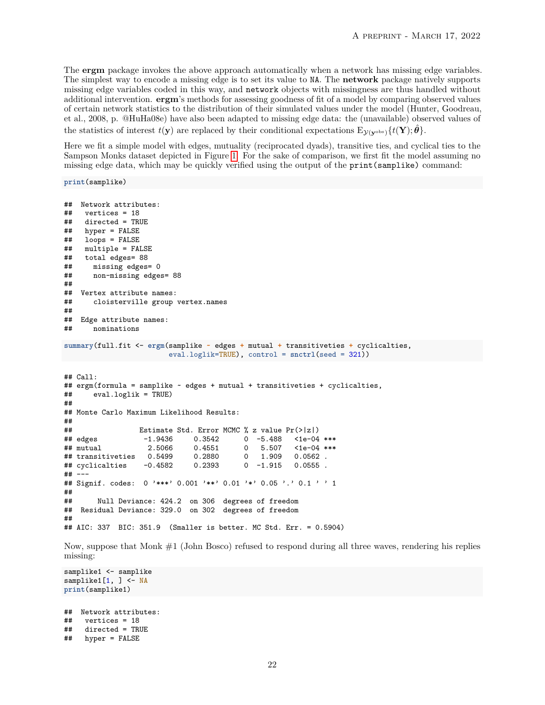The **ergm** package invokes the above approach automatically when a network has missing edge variables. The simplest way to encode a missing edge is to set its value to NA. The **network** package natively supports missing edge variables coded in this way, and network objects with missingness are thus handled without additional intervention. **ergm**'s methods for assessing goodness of fit of a model by comparing observed values of certain network statistics to the distribution of their simulated values under the model (Hunter, Goodreau, et al., 2008, p. @HuHa08e) have also been adapted to missing edge data: the (unavailable) observed values of the statistics of interest  $t(\mathbf{y})$  are replaced by their conditional expectations  $E_{\mathcal{V}(\mathbf{y}\circ\mathbf{b})}\lbrace t(\mathbf{Y}); \hat{\boldsymbol{\theta}}\rbrace$ .

Here we fit a simple model with edges, mutuality (reciprocated dyads), transitive ties, and cyclical ties to the Sampson Monks dataset depicted in Figure [1.](#page-8-0) For the sake of comparison, we first fit the model assuming no missing edge data, which may be quickly verified using the output of the print(samplike) command:

**print**(samplike)

```
## Network attributes:
\# vertices = 18<br>\# directed = TR
    directed = TRUE## hyper = FALSE
## loops = FALSE<br>## multiple = FA
    multiple = FALSE## total edges= 88
## missing edges= 0
      non-missing edges= 88
##
## Vertex attribute names:
## cloisterville group vertex.names
##
   Edge attribute names:
## nominations
summary(full.fit <- ergm(samplike ~ edges + mutual + transitiveties + cyclicalties,
                        eval.loglik=TRUE), control = snctrl(seed = 321))
## Call:
## ergm(formula = samplike ~ edges + mutual + transitiveties + cyclicalties,
## eval.loglik = TRUE)
##
## Monte Carlo Maximum Likelihood Results:
##
## Estimate Std. Error MCMC % z value Pr(>|z|)
                   ## edges -1.9436 0.3542 0 -5.488 <1e-04 ***
## mutual 2.5066 0.4551 0 5.507 <1e-04 ***
## transitiveties  0.5499  0.2880  0
## cyclicalties -0.4582 0.2393 0 -1.915 0.0555 .
## ---
## Signif. codes: 0 '***' 0.001 '**' 0.01 '*' 0.05 '.' 0.1 ' ' 1
##
       Null Deviance: 424.2 on 306 degrees of freedom
## Residual Deviance: 329.0 on 302 degrees of freedom
##
## AIC: 337 BIC: 351.9 (Smaller is better. MC Std. Err. = 0.5904)
```
Now, suppose that Monk #1 (John Bosco) refused to respond during all three waves, rendering his replies missing:

```
samplike1 <- samplike
samplike1[1, ] <- NA
print(samplike1)
\# Network attributes:<br>\# wertices = 18
     vertices = 18## directed = TRUE
## hyper = FALSE
```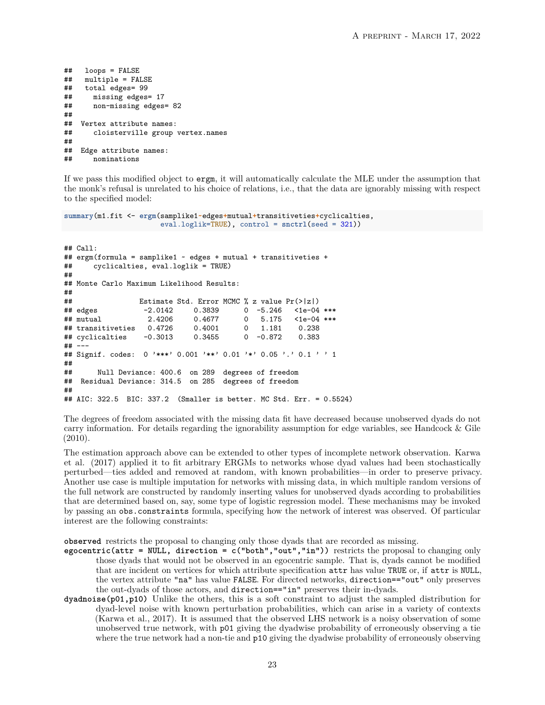```
## loops = FALSE
## multiple = FALSE
## total edges= 99
      missing edges= 17
## non-missing edges= 82
##
## Vertex attribute names:
      cloisterville group vertex.names
##
## Edge attribute names:
## nominations
```
If we pass this modified object to ergm, it will automatically calculate the MLE under the assumption that the monk's refusal is unrelated to his choice of relations, i.e., that the data are ignorably missing with respect to the specified model:

```
summary(m1.fit <- ergm(samplike1~edges+mutual+transitiveties+cyclicalties,
                      eval.loglik=TRUE), control = snctrl(seed = 321))
## Call:
## ergm(formula = samplike1 \sim edges + mutual + transitiveties + \#<br>## cyclicalties, eval.loglik = TRUE)
      cyclicalties, eval.loglik = TRUE)##
## Monte Carlo Maximum Likelihood Results:
##
## Estimate Std. Error MCMC % z value Pr(>|z|)
                  -2.0142 0.3839 0 -5.246 <1e-04 ***
## mutual 2.4206 0.4677 0 5.175 <1e-04 ***
## transitiveties 0.4726 0.4001 0 1.181 0.238
## cyclicalties
## ---
## Signif. codes: 0 '***' 0.001 '**' 0.01 '*' 0.05 '.' 0.1 ' ' 1
##
## Null Deviance: 400.6 on 289 degrees of freedom
## Residual Deviance: 314.5 on 285 degrees of freedom
##
## AIC: 322.5 BIC: 337.2 (Smaller is better. MC Std. Err. = 0.5524)
```
The degrees of freedom associated with the missing data fit have decreased because unobserved dyads do not carry information. For details regarding the ignorability assumption for edge variables, see Handcock & Gile (2010).

The estimation approach above can be extended to other types of incomplete network observation. Karwa et al. (2017) applied it to fit arbitrary ERGMs to networks whose dyad values had been stochastically perturbed—ties added and removed at random, with known probabilities—in order to preserve privacy. Another use case is multiple imputation for networks with missing data, in which multiple random versions of the full network are constructed by randomly inserting values for unobserved dyads according to probabilities that are determined based on, say, some type of logistic regression model. These mechanisms may be invoked by passing an obs.constraints formula, specifying how the network of interest was observed. Of particular interest are the following constraints:

**observed** restricts the proposal to changing only those dyads that are recorded as missing.

- **egocentric(attr = NULL, direction = c("both","out","in"))** restricts the proposal to changing only those dyads that would not be observed in an egocentric sample. That is, dyads cannot be modified that are incident on vertices for which attribute specification attr has value TRUE or, if attr is NULL, the vertex attribute "na" has value FALSE. For directed networks, direction=="out" only preserves the out-dyads of those actors, and direction=="in" preserves their in-dyads.
- **dyadnoise(p01,p10)** Unlike the others, this is a soft constraint to adjust the sampled distribution for dyad-level noise with known perturbation probabilities, which can arise in a variety of contexts (Karwa et al., 2017). It is assumed that the observed LHS network is a noisy observation of some unobserved true network, with p01 giving the dyadwise probability of erroneously observing a tie where the true network had a non-tie and p10 giving the dyadwise probability of erroneously observing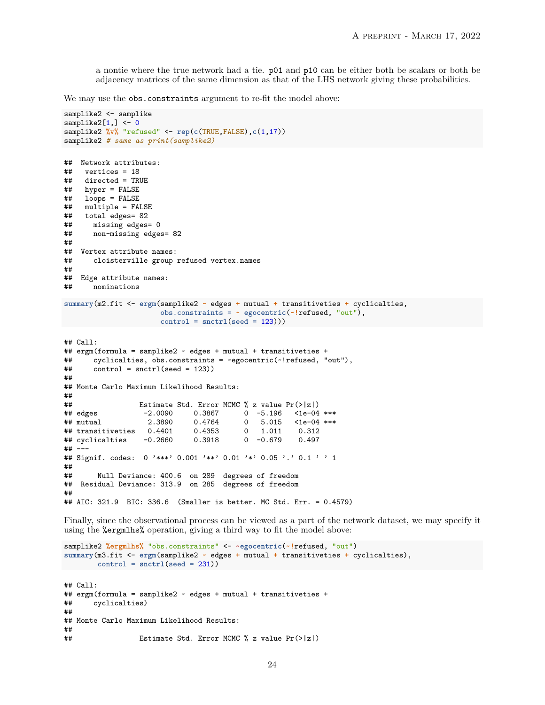a nontie where the true network had a tie. p01 and p10 can be either both be scalars or both be adjacency matrices of the same dimension as that of the LHS network giving these probabilities.

We may use the obs.constraints argument to re-fit the model above:

```
samplike2 <- samplike
samplike2[1,] < -0samplike2 %v% "refused" <- rep(c(TRUE,FALSE),c(1,17))
samplike2 # same as print(samplike2)
## Network attributes:
\# vertices = 18<br>\# directed = TR
## directed = TRUE<br>## hyper = FALSE
    hyper = FALSE## loops = FALSE
## multiple = FALSE
    total edges= 82
## missing edges= 0
## non-missing edges= 82
##
## Vertex attribute names:
## cloisterville group refused vertex.names
##
   Edge attribute names:
## nominations
summary(m2.fit <- ergm(samplike2 ~ edges + mutual + transitiveties + cyclicalties,
                      obs.constraints = ~ egocentric(~!refused, "out"),
                      control = snctrl(seed = 123)))
## Call:
## ergm(formula = samplike2 ~ edges + mutual + transitiveties +
## cyclicalties, obs.constraints = ~egocentric(~!refused, "out"),
\# control = snctrl(seed = 123))
##
## Monte Carlo Maximum Likelihood Results:
##
## Estimate Std. Error MCMC % z value Pr(>|z|)
## edges -2.0090 0.3867 0 -5.196 <1e-04 ***
## mutual 2.3890 0.4764 0 5.015 <1e-04 ***
## transitiveties 0.4401 0.4353 0 1.011 0.312
## cyclicalties
## ---
## Signif. codes: 0 '***' 0.001 '**' 0.01 '*' 0.05 '.' 0.1 ' ' 1
##
## Null Deviance: 400.6 on 289 degrees of freedom
  Residual Deviance: 313.9 on 285 degrees of freedom
##
## AIC: 321.9 BIC: 336.6 (Smaller is better. MC Std. Err. = 0.4579)
Finally, since the observational process can be viewed as a part of the network dataset, we may specify it
using the %ergmlhs% operation, giving a third way to fit the model above:
```

```
samplike2 %ergmlhs% "obs.constraints" <- ~egocentric(~!refused, "out")
summary(m3.fit <- ergm(samplike2 ~ edges + mutual + transitiveties + cyclicalties),
control = snctrl(seed = 231))
## Call:
## ergm(formula = samplike2 ~ edges + mutual + transitiveties +
## cyclicalties)
##
## Monte Carlo Maximum Likelihood Results:
##
## Estimate Std. Error MCMC % z value Pr(>|z|)
```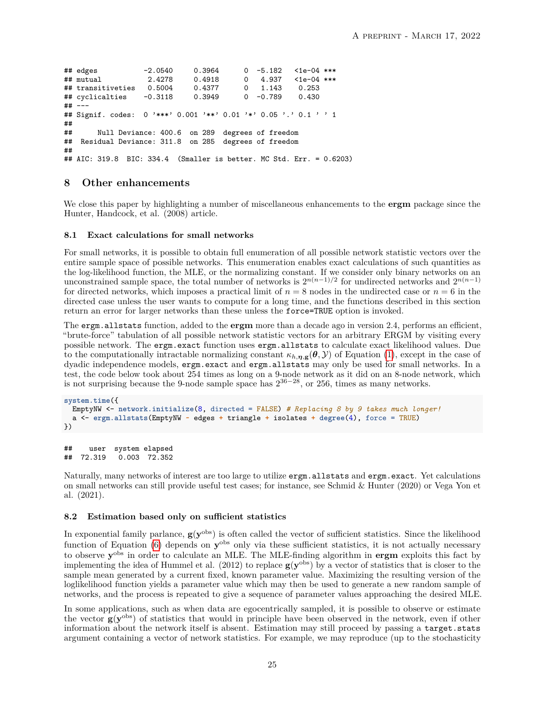```
## edges -2.0540 0.3964 0 -5.182 <1e-04 ***
## mutual 2.4278 0.4918 0 4.937 <1e-04 ***
## transitiveties 0.5004 0.4377 0 1.143 0.253
## cyclicalties
## ---
## Signif. codes: 0 '***' 0.001 '**' 0.01 '*' 0.05 '.' 0.1 ' ' 1
##
      Null Deviance: 400.6 on 289 degrees of freedom
## Residual Deviance: 311.8 on 285 degrees of freedom
##
## AIC: 319.8 BIC: 334.4 (Smaller is better. MC Std. Err. = 0.6203)
```
# **8 Other enhancements**

We close this paper by highlighting a number of miscellaneous enhancements to the **ergm** package since the Hunter, Handcock, et al. (2008) article.

#### **8.1 Exact calculations for small networks**

For small networks, it is possible to obtain full enumeration of all possible network statistic vectors over the entire sample space of possible networks. This enumeration enables exact calculations of such quantities as the log-likelihood function, the MLE, or the normalizing constant. If we consider only binary networks on an unconstrained sample space, the total number of networks is  $2^{n(n-1)/2}$  for undirected networks and  $2^{n(n-1)}$ for directed networks, which imposes a practical limit of  $n = 8$  nodes in the undirected case or  $n = 6$  in the directed case unless the user wants to compute for a long time, and the functions described in this section return an error for larger networks than these unless the force=TRUE option is invoked.

The ergm.allstats function, added to the **ergm** more than a decade ago in version 2.4, performs an efficient, "brute-force" tabulation of all possible network statistic vectors for an arbitrary ERGM by visiting every possible network. The ergm.exact function uses ergm.allstats to calculate exact likelihood values. Due to the computationally intractable normalizing constant  $\kappa_{h,\eta,g}(\theta,\mathcal{Y})$  of Equation [\(1\)](#page-1-0), except in the case of dyadic independence models, ergm.exact and ergm.allstats may only be used for small networks. In a test, the code below took about 254 times as long on a 9-node network as it did on an 8-node network, which is not surprising because the 9-node sample space has  $2^{36-28}$ , or 256, times as many networks.

```
system.time({
 EmptyNW <- network.initialize(8, directed = FALSE) # Replacing 8 by 9 takes much longer!
  a <- ergm.allstats(EmptyNW ~ edges + triangle + isolates + degree(4), force = TRUE)
})
```

```
## user system elapsed
## 72.319 0.003 72.352
```
Naturally, many networks of interest are too large to utilize ergm.allstats and ergm.exact. Yet calculations on small networks can still provide useful test cases; for instance, see Schmid & Hunter (2020) or Vega Yon et al. (2021).

#### **8.2 Estimation based only on sufficient statistics**

In exponential family parlance,  $g(y^{obs})$  is often called the vector of sufficient statistics. Since the likelihood function of Equation [\(6\)](#page-20-0) depends on **y**<sup>obs</sup> only via these sufficient statistics, it is not actually necessary to observe  $y^{\text{obs}}$  in order to calculate an MLE. The MLE-finding algorithm in **ergm** exploits this fact by implementing the idea of Hummel et al. (2012) to replace  $g(y^{\text{obs}})$  by a vector of statistics that is closer to the sample mean generated by a current fixed, known parameter value. Maximizing the resulting version of the loglikelihood function yields a parameter value which may then be used to generate a new random sample of networks, and the process is repeated to give a sequence of parameter values approaching the desired MLE.

In some applications, such as when data are egocentrically sampled, it is possible to observe or estimate the vector **g**(**y**<sup>obs</sup>) of statistics that would in principle have been observed in the network, even if other information about the network itself is absent. Estimation may still proceed by passing a target.stats argument containing a vector of network statistics. For example, we may reproduce (up to the stochasticity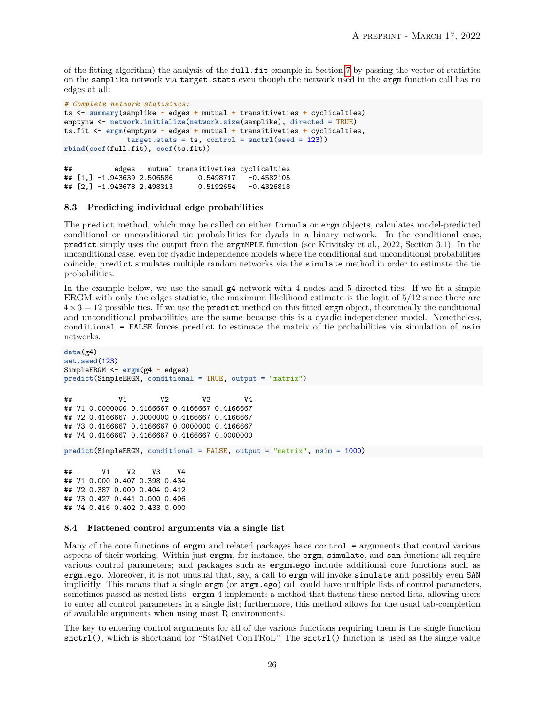of the fitting algorithm) the analysis of the full.fit example in Section [7](#page-20-1) by passing the vector of statistics on the samplike network via target.stats even though the network used in the ergm function call has no edges at all:

```
# Complete network statistics:
ts <- summary(samplike ~ edges + mutual + transitiveties + cyclicalties)
emptynw <- network.initialize(network.size(samplike), directed = TRUE)
ts.fit <- ergm(emptynw ~ edges + mutual + transitiveties + cyclicalties,
               target.stats = ts, control = snctrl(seed = 123))
rbind(coef(full.fit), coef(ts.fit))
```
## edges mutual transitiveties cyclicalties ## [1,] -1.943639 2.506586 0.5498717 -0.4582105 ## [2,] -1.943678 2.498313

#### **8.3 Predicting individual edge probabilities**

The predict method, which may be called on either formula or ergm objects, calculates model-predicted conditional or unconditional tie probabilities for dyads in a binary network. In the conditional case, predict simply uses the output from the ergmMPLE function (see Krivitsky et al., 2022, Section 3.1). In the unconditional case, even for dyadic independence models where the conditional and unconditional probabilities coincide, predict simulates multiple random networks via the simulate method in order to estimate the tie probabilities.

In the example below, we use the small g4 network with 4 nodes and 5 directed ties. If we fit a simple ERGM with only the edges statistic, the maximum likelihood estimate is the logit of 5/12 since there are  $4\times3=12$  possible ties. If we use the predict method on this fitted ergm object, theoretically the conditional and unconditional probabilities are the same because this is a dyadic independence model. Nonetheless, conditional = FALSE forces predict to estimate the matrix of tie probabilities via simulation of nsim networks.

```
data(g4)
set.seed(123)
SimpleERGM <- ergm(g4 ~ edges)
predict(SimpleERGM, conditional = TRUE, output = "matrix")
## V1 V2 V3 V4
## V1 0.0000000 0.4166667 0.4166667 0.4166667
## V2 0.4166667 0.0000000 0.4166667 0.4166667
## V3 0.4166667 0.4166667 0.0000000 0.4166667
## V4 0.4166667 0.4166667 0.4166667 0.0000000
predict(SimpleERGM, conditional = FALSE, output = "matrix", nsim = 1000)
## V1 V2 V3 V4
## V1 0.000 0.407 0.398 0.434
## V2 0.387 0.000 0.404 0.412
## V3 0.427 0.441 0.000 0.406
```
# ## V4 0.416 0.402 0.433 0.000

#### **8.4 Flattened control arguments via a single list**

Many of the core functions of **ergm** and related packages have control = arguments that control various aspects of their working. Within just **ergm**, for instance, the ergm, simulate, and san functions all require various control parameters; and packages such as **ergm.ego** include additional core functions such as ergm.ego. Moreover, it is not unusual that, say, a call to ergm will invoke simulate and possibly even SAN implicitly. This means that a single ergm (or ergm.ego) call could have multiple lists of control parameters, sometimes passed as nested lists. **ergm** 4 implements a method that flattens these nested lists, allowing users to enter all control parameters in a single list; furthermore, this method allows for the usual tab-completion of available arguments when using most R environments.

The key to entering control arguments for all of the various functions requiring them is the single function snctrl(), which is shorthand for "StatNet ConTRoL". The snctrl() function is used as the single value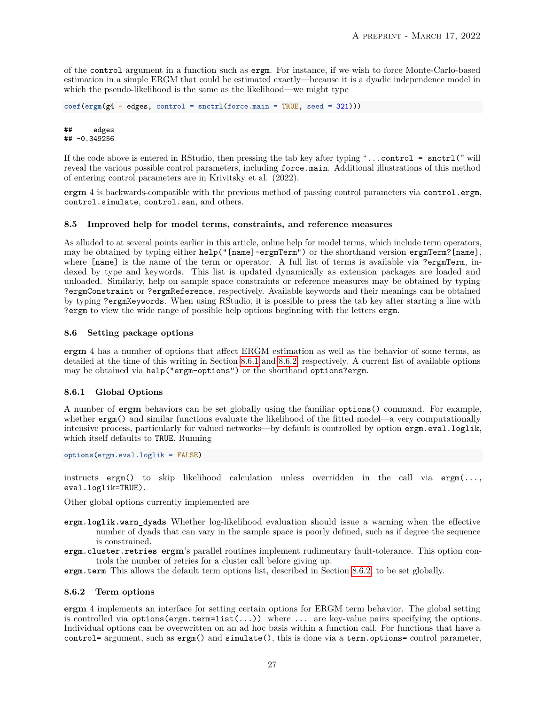of the control argument in a function such as ergm. For instance, if we wish to force Monte-Carlo-based estimation in a simple ERGM that could be estimated exactly—because it is a dyadic independence model in which the pseudo-likelihood is the same as the likelihood—we might type

```
coef(ergm(g4 ~ edges, control = snctrl(force.main = TRUE, seed = 321)))
```
## edges ## -0.349256

If the code above is entered in RStudio, then pressing the tab key after typing "...control = snctrl(" will reveal the various possible control parameters, including force.main. Additional illustrations of this method of entering control parameters are in Krivitsky et al. (2022).

**ergm** 4 is backwards-compatible with the previous method of passing control parameters via control.ergm, control.simulate, control.san, and others.

# **8.5 Improved help for model terms, constraints, and reference measures**

As alluded to at several points earlier in this article, online help for model terms, which include term operators, may be obtained by typing either help("[name]-ergmTerm") or the shorthand version ergmTerm?[name], where [name] is the name of the term or operator. A full list of terms is available via ?ergmTerm, indexed by type and keywords. This list is updated dynamically as extension packages are loaded and unloaded. Similarly, help on sample space constraints or reference measures may be obtained by typing ?ergmConstraint or ?ergmReference, respectively. Available keywords and their meanings can be obtained by typing ?ergmKeywords. When using RStudio, it is possible to press the tab key after starting a line with ?ergm to view the wide range of possible help options beginning with the letters ergm.

## **8.6 Setting package options**

**ergm** 4 has a number of options that affect ERGM estimation as well as the behavior of some terms, as detailed at the time of this writing in Section [8.6.1](#page-26-1) and [8.6.2,](#page-26-0) respectively. A current list of available options may be obtained via help("ergm-options") or the shorthand options?ergm.

# <span id="page-26-1"></span>**8.6.1 Global Options**

A number of **ergm** behaviors can be set globally using the familiar options() command. For example, whether  $\texttt{ergm}()$  and similar functions evaluate the likelihood of the fitted model—a very computationally intensive process, particularly for valued networks—by default is controlled by option ergm.eval.loglik, which itself defaults to TRUE. Running

**options**(ergm.eval.loglik = FALSE)

instructs ergm() to skip likelihood calculation unless overridden in the call via ergm $(\ldots,$ eval.loglik=TRUE).

Other global options currently implemented are

- **ergm.loglik.warn\_dyads** Whether log-likelihood evaluation should issue a warning when the effective number of dyads that can vary in the sample space is poorly defined, such as if degree the sequence is constrained.
- **ergm.cluster.retries ergm**'s parallel routines implement rudimentary fault-tolerance. This option controls the number of retries for a cluster call before giving up.
- **ergm.term** This allows the default term options list, described in Section [8.6.2,](#page-26-0) to be set globally.

## <span id="page-26-0"></span>**8.6.2 Term options**

**ergm** 4 implements an interface for setting certain options for ERGM term behavior. The global setting is controlled via options( $\text{ergm.term=list}(\ldots)$ ) where  $\ldots$  are key-value pairs specifying the options. Individual options can be overwritten on an ad hoc basis within a function call. For functions that have a control= argument, such as ergm() and simulate(), this is done via a term.options= control parameter,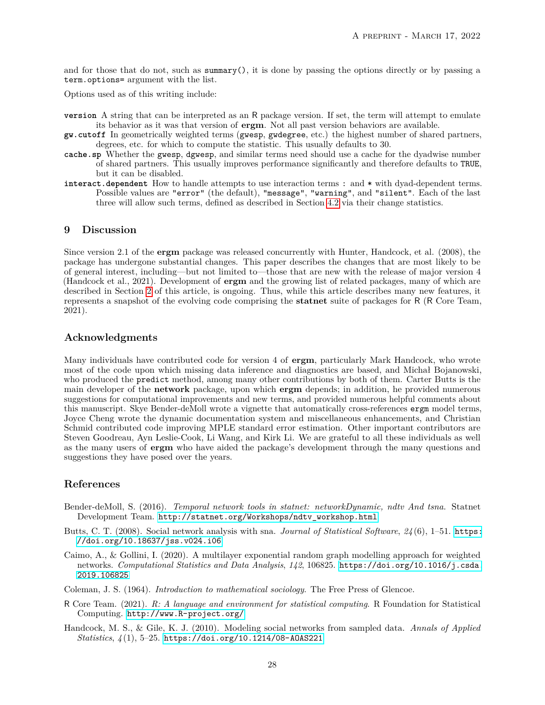and for those that do not, such as  $\text{summary}()$ , it is done by passing the options directly or by passing a term.options= argument with the list.

Options used as of this writing include:

- **version** A string that can be interpreted as an R package version. If set, the term will attempt to emulate its behavior as it was that version of **ergm**. Not all past version behaviors are available.
- **gw.cutoff** In geometrically weighted terms (gwesp, gwdegree, etc.) the highest number of shared partners, degrees, etc. for which to compute the statistic. This usually defaults to 30.
- **cache.sp** Whether the gwesp, dgwesp, and similar terms need should use a cache for the dyadwise number of shared partners. This usually improves performance significantly and therefore defaults to TRUE, but it can be disabled.
- **interact.dependent** How to handle attempts to use interaction terms : and \* with dyad-dependent terms. Possible values are "error" (the default), "message", "warning", and "silent". Each of the last three will allow such terms, defined as described in Section [4.2](#page-10-1) via their change statistics.

# **9 Discussion**

Since version 2.1 of the **ergm** package was released concurrently with Hunter, Handcock, et al. (2008), the package has undergone substantial changes. This paper describes the changes that are most likely to be of general interest, including—but not limited to—those that are new with the release of major version 4 (Handcock et al., 2021). Development of **ergm** and the growing list of related packages, many of which are described in Section [2](#page-1-1) of this article, is ongoing. Thus, while this article describes many new features, it represents a snapshot of the evolving code comprising the **statnet** suite of packages for R (R Core Team, 2021).

# **Acknowledgments**

Many individuals have contributed code for version 4 of **ergm**, particularly Mark Handcock, who wrote most of the code upon which missing data inference and diagnostics are based, and Michał Bojanowski, who produced the predict method, among many other contributions by both of them. Carter Butts is the main developer of the **network** package, upon which **ergm** depends; in addition, he provided numerous suggestions for computational improvements and new terms, and provided numerous helpful comments about this manuscript. Skye Bender-deMoll wrote a vignette that automatically cross-references ergm model terms, Joyce Cheng wrote the dynamic documentation system and miscellaneous enhancements, and Christian Schmid contributed code improving MPLE standard error estimation. Other important contributors are Steven Goodreau, Ayn Leslie-Cook, Li Wang, and Kirk Li. We are grateful to all these individuals as well as the many users of **ergm** who have aided the package's development through the many questions and suggestions they have posed over the years.

# **References**

- Bender-deMoll, S. (2016). *Temporal network tools in statnet: networkDynamic, ndtv And tsna*. Statnet Development Team. [http://statnet.org/Workshops/ndtv\\_workshop.html](http://statnet.org/Workshops/ndtv_workshop.html)
- Butts, C. T. (2008). Social network analysis with sna. *Journal of Statistical Software*, *24* (6), 1–51. [https:](https://doi.org/10.18637/jss.v024.i06) [//doi.org/10.18637/jss.v024.i06](https://doi.org/10.18637/jss.v024.i06)
- Caimo, A., & Gollini, I. (2020). A multilayer exponential random graph modelling approach for weighted networks. *Computational Statistics and Data Analysis*, *142*, 106825. [https://doi.org/10.1016/j.csda.](https://doi.org/10.1016/j.csda.2019.106825) [2019.106825](https://doi.org/10.1016/j.csda.2019.106825)
- Coleman, J. S. (1964). *Introduction to mathematical sociology*. The Free Press of Glencoe.
- R Core Team. (2021). *R: A language and environment for statistical computing*. R Foundation for Statistical Computing. <http://www.R-project.org/>
- Handcock, M. S., & Gile, K. J. (2010). Modeling social networks from sampled data. *Annals of Applied Statistics*, *4* (1), 5–25. <https://doi.org/10.1214/08-AOAS221>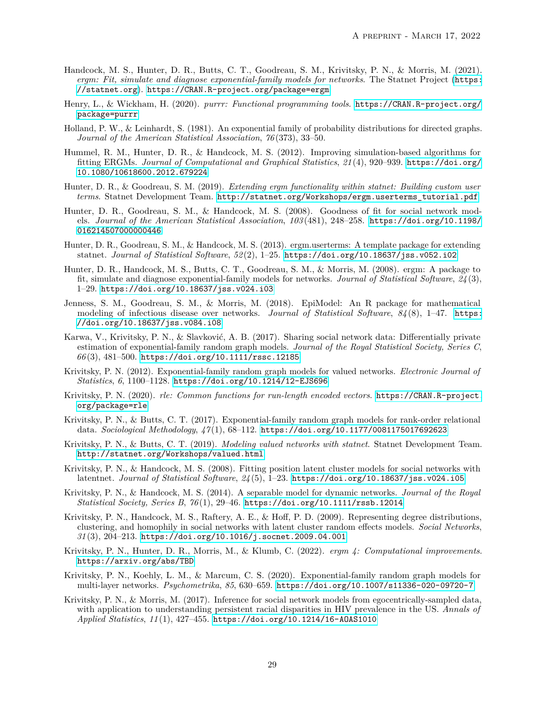- Handcock, M. S., Hunter, D. R., Butts, C. T., Goodreau, S. M., Krivitsky, P. N., & Morris, M. (2021). *ergm: Fit, simulate and diagnose exponential-family models for networks*. The Statnet Project ([https:](https://statnet.org) [//statnet.org](https://statnet.org)). <https://CRAN.R-project.org/package=ergm>
- Henry, L., & Wickham, H. (2020). *purrr: Functional programming tools*. [https://CRAN.R-project.org/](https://CRAN.R-project.org/package=purrr) [package=purrr](https://CRAN.R-project.org/package=purrr)
- Holland, P. W., & Leinhardt, S. (1981). An exponential family of probability distributions for directed graphs. *Journal of the American Statistical Association*, *76* (373), 33–50.
- Hummel, R. M., Hunter, D. R., & Handcock, M. S. (2012). Improving simulation-based algorithms for fitting ERGMs. *Journal of Computational and Graphical Statistics*, *21* (4), 920–939. [https://doi.org/](https://doi.org/10.1080/10618600.2012.679224) [10.1080/10618600.2012.679224](https://doi.org/10.1080/10618600.2012.679224)
- Hunter, D. R., & Goodreau, S. M. (2019). *Extending ergm functionality within statnet: Building custom user terms*. Statnet Development Team. [http://statnet.org/Workshops/ergm.userterms\\_tutorial.pdf](http://statnet.org/Workshops/ergm.userterms_tutorial.pdf)
- Hunter, D. R., Goodreau, S. M., & Handcock, M. S. (2008). Goodness of fit for social network models. *Journal of the American Statistical Association*, *103* (481), 248–258. [https://doi.org/10.1198/](https://doi.org/10.1198/016214507000000446) [016214507000000446](https://doi.org/10.1198/016214507000000446)
- Hunter, D. R., Goodreau, S. M., & Handcock, M. S. (2013). ergm.userterms: A template package for extending statnet. *Journal of Statistical Software*, *52* (2), 1–25. <https://doi.org/10.18637/jss.v052.i02>
- Hunter, D. R., Handcock, M. S., Butts, C. T., Goodreau, S. M., & Morris, M. (2008). ergm: A package to fit, simulate and diagnose exponential-family models for networks. *Journal of Statistical Software*, *24* (3), 1–29. <https://doi.org/10.18637/jss.v024.i03>
- Jenness, S. M., Goodreau, S. M., & Morris, M. (2018). EpiModel: An R package for mathematical modeling of infectious disease over networks. *Journal of Statistical Software*, *84* (8), 1–47. [https:](https://doi.org/10.18637/jss.v084.i08) [//doi.org/10.18637/jss.v084.i08](https://doi.org/10.18637/jss.v084.i08)
- Karwa, V., Krivitsky, P. N., & Slavković, A. B. (2017). Sharing social network data: Differentially private estimation of exponential-family random graph models. *Journal of the Royal Statistical Society, Series C*, *66* (3), 481–500. <https://doi.org/10.1111/rssc.12185>
- Krivitsky, P. N. (2012). Exponential-family random graph models for valued networks. *Electronic Journal of Statistics*, *6*, 1100–1128. <https://doi.org/10.1214/12-EJS696>
- Krivitsky, P. N. (2020). *rle: Common functions for run-length encoded vectors*. [https://CRAN.R-project.](https://CRAN.R-project.org/package=rle) [org/package=rle](https://CRAN.R-project.org/package=rle)
- Krivitsky, P. N., & Butts, C. T. (2017). Exponential-family random graph models for rank-order relational data. *Sociological Methodology*, *47* (1), 68–112. <https://doi.org/10.1177/0081175017692623>
- Krivitsky, P. N., & Butts, C. T. (2019). *Modeling valued networks with statnet*. Statnet Development Team. <http://statnet.org/Workshops/valued.html>
- Krivitsky, P. N., & Handcock, M. S. (2008). Fitting position latent cluster models for social networks with latentnet. *Journal of Statistical Software*, *24* (5), 1–23. <https://doi.org/10.18637/jss.v024.i05>
- Krivitsky, P. N., & Handcock, M. S. (2014). A separable model for dynamic networks. *Journal of the Royal Statistical Society, Series B*, *76* (1), 29–46. <https://doi.org/10.1111/rssb.12014>
- Krivitsky, P. N., Handcock, M. S., Raftery, A. E., & Hoff, P. D. (2009). Representing degree distributions, clustering, and homophily in social networks with latent cluster random effects models. *Social Networks*, *31* (3), 204–213. <https://doi.org/10.1016/j.socnet.2009.04.001>
- Krivitsky, P. N., Hunter, D. R., Morris, M., & Klumb, C. (2022). *ergm 4: Computational improvements*. <https://arxiv.org/abs/TBD>
- Krivitsky, P. N., Koehly, L. M., & Marcum, C. S. (2020). Exponential-family random graph models for multi-layer networks. *Psychometrika*, *85*, 630–659. <https://doi.org/10.1007/s11336-020-09720-7>
- Krivitsky, P. N., & Morris, M. (2017). Inference for social network models from egocentrically-sampled data, with application to understanding persistent racial disparities in HIV prevalence in the US. *Annals of Applied Statistics*, *11* (1), 427–455. <https://doi.org/10.1214/16-AOAS1010>